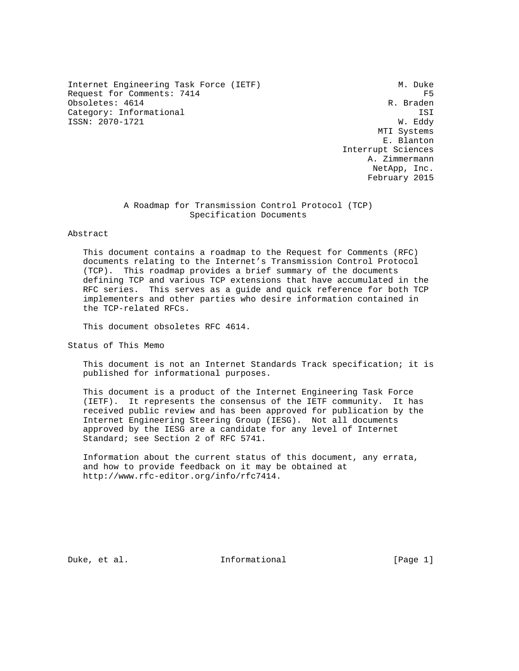Internet Engineering Task Force (IETF) M. Duke Request for Comments: 7414 F5<br>
Obsoletes: 4614 R. Braden Obsoletes: 4614 Category: Informational ISI ISSN: 2070-1721 W. Eddy

 MTI Systems E. Blanton Interrupt Sciences A. Zimmermann NetApp, Inc. February 2015

## A Roadmap for Transmission Control Protocol (TCP) Specification Documents

#### Abstract

 This document contains a roadmap to the Request for Comments (RFC) documents relating to the Internet's Transmission Control Protocol (TCP). This roadmap provides a brief summary of the documents defining TCP and various TCP extensions that have accumulated in the RFC series. This serves as a guide and quick reference for both TCP implementers and other parties who desire information contained in the TCP-related RFCs.

This document obsoletes RFC 4614.

Status of This Memo

 This document is not an Internet Standards Track specification; it is published for informational purposes.

 This document is a product of the Internet Engineering Task Force (IETF). It represents the consensus of the IETF community. It has received public review and has been approved for publication by the Internet Engineering Steering Group (IESG). Not all documents approved by the IESG are a candidate for any level of Internet Standard; see Section 2 of RFC 5741.

 Information about the current status of this document, any errata, and how to provide feedback on it may be obtained at http://www.rfc-editor.org/info/rfc7414.

Duke, et al. Informational [Page 1]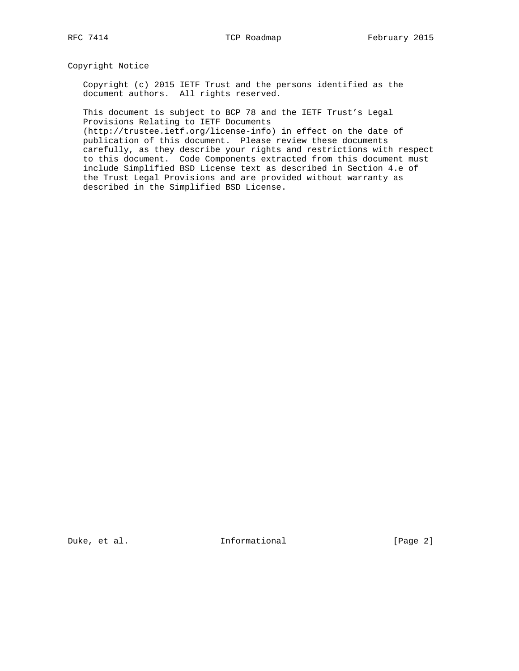Copyright Notice

 Copyright (c) 2015 IETF Trust and the persons identified as the document authors. All rights reserved.

 This document is subject to BCP 78 and the IETF Trust's Legal Provisions Relating to IETF Documents

 (http://trustee.ietf.org/license-info) in effect on the date of publication of this document. Please review these documents carefully, as they describe your rights and restrictions with respect to this document. Code Components extracted from this document must include Simplified BSD License text as described in Section 4.e of the Trust Legal Provisions and are provided without warranty as described in the Simplified BSD License.

Duke, et al. 10 mm informational 11 mm informational [Page 2]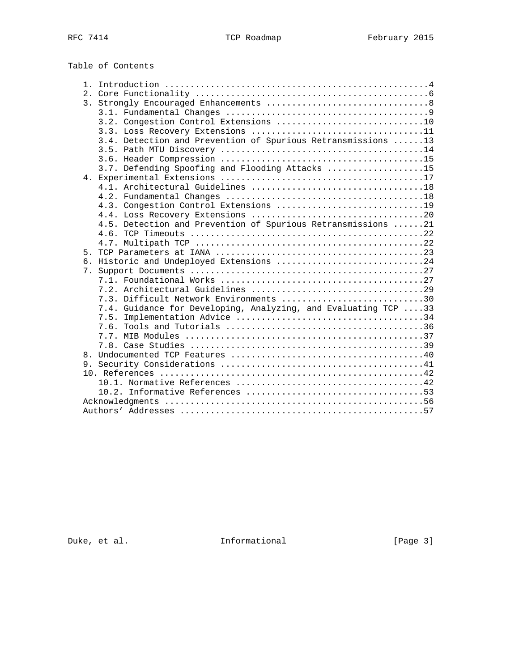| Table of Contents |  |
|-------------------|--|
|-------------------|--|

|    | 3.4. Detection and Prevention of Spurious Retransmissions 13   |  |
|----|----------------------------------------------------------------|--|
|    |                                                                |  |
|    |                                                                |  |
|    | 3.7. Defending Spoofing and Flooding Attacks 15                |  |
|    |                                                                |  |
|    |                                                                |  |
|    |                                                                |  |
|    | 4.3. Congestion Control Extensions 19                          |  |
|    |                                                                |  |
|    | 4.5. Detection and Prevention of Spurious Retransmissions 21   |  |
|    |                                                                |  |
|    |                                                                |  |
| 5. |                                                                |  |
| 7. | 6. Historic and Undeployed Extensions 24                       |  |
|    |                                                                |  |
|    |                                                                |  |
|    | 7.3. Difficult Network Environments 30                         |  |
|    | 7.4. Guidance for Developing, Analyzing, and Evaluating TCP 33 |  |
|    |                                                                |  |
|    |                                                                |  |
|    |                                                                |  |
|    |                                                                |  |
|    |                                                                |  |
|    |                                                                |  |
|    |                                                                |  |
|    |                                                                |  |
|    |                                                                |  |
|    |                                                                |  |
|    |                                                                |  |

Duke, et al. 1nformational [Page 3]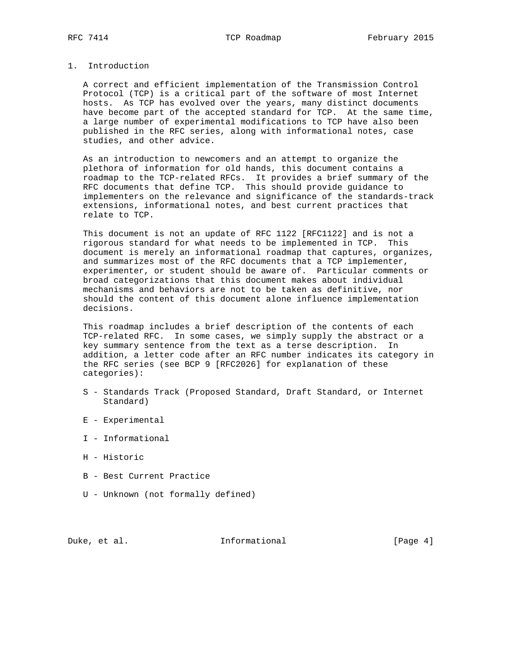## 1. Introduction

 A correct and efficient implementation of the Transmission Control Protocol (TCP) is a critical part of the software of most Internet hosts. As TCP has evolved over the years, many distinct documents have become part of the accepted standard for TCP. At the same time, a large number of experimental modifications to TCP have also been published in the RFC series, along with informational notes, case studies, and other advice.

 As an introduction to newcomers and an attempt to organize the plethora of information for old hands, this document contains a roadmap to the TCP-related RFCs. It provides a brief summary of the RFC documents that define TCP. This should provide guidance to implementers on the relevance and significance of the standards-track extensions, informational notes, and best current practices that relate to TCP.

 This document is not an update of RFC 1122 [RFC1122] and is not a rigorous standard for what needs to be implemented in TCP. This document is merely an informational roadmap that captures, organizes, and summarizes most of the RFC documents that a TCP implementer, experimenter, or student should be aware of. Particular comments or broad categorizations that this document makes about individual mechanisms and behaviors are not to be taken as definitive, nor should the content of this document alone influence implementation decisions.

 This roadmap includes a brief description of the contents of each TCP-related RFC. In some cases, we simply supply the abstract or a key summary sentence from the text as a terse description. In addition, a letter code after an RFC number indicates its category in the RFC series (see BCP 9 [RFC2026] for explanation of these categories):

- S Standards Track (Proposed Standard, Draft Standard, or Internet Standard)
- E Experimental
- I Informational
- H Historic
- B Best Current Practice
- U Unknown (not formally defined)

Duke, et al. 100 and 100 and 111 and 100 and 100 and 100 and 100 and 100 and 100 and 100 and 100 and 100 and 1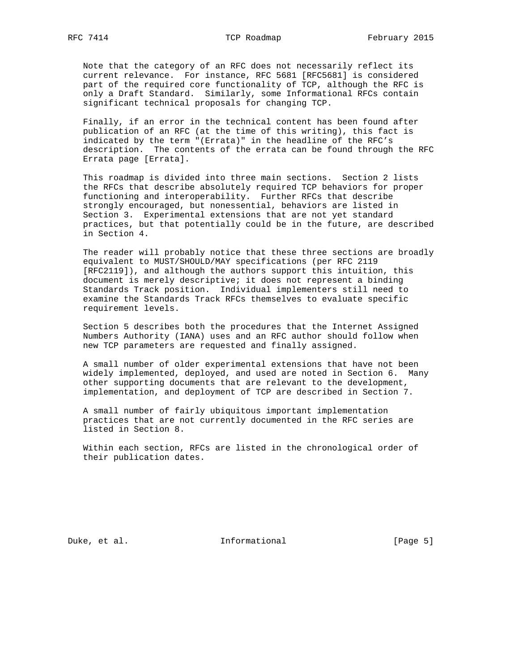Note that the category of an RFC does not necessarily reflect its current relevance. For instance, RFC 5681 [RFC5681] is considered part of the required core functionality of TCP, although the RFC is only a Draft Standard. Similarly, some Informational RFCs contain significant technical proposals for changing TCP.

 Finally, if an error in the technical content has been found after publication of an RFC (at the time of this writing), this fact is indicated by the term "(Errata)" in the headline of the RFC's description. The contents of the errata can be found through the RFC Errata page [Errata].

 This roadmap is divided into three main sections. Section 2 lists the RFCs that describe absolutely required TCP behaviors for proper functioning and interoperability. Further RFCs that describe strongly encouraged, but nonessential, behaviors are listed in Section 3. Experimental extensions that are not yet standard practices, but that potentially could be in the future, are described in Section 4.

 The reader will probably notice that these three sections are broadly equivalent to MUST/SHOULD/MAY specifications (per RFC 2119 [RFC2119]), and although the authors support this intuition, this document is merely descriptive; it does not represent a binding Standards Track position. Individual implementers still need to examine the Standards Track RFCs themselves to evaluate specific requirement levels.

 Section 5 describes both the procedures that the Internet Assigned Numbers Authority (IANA) uses and an RFC author should follow when new TCP parameters are requested and finally assigned.

 A small number of older experimental extensions that have not been widely implemented, deployed, and used are noted in Section 6. Many other supporting documents that are relevant to the development, implementation, and deployment of TCP are described in Section 7.

 A small number of fairly ubiquitous important implementation practices that are not currently documented in the RFC series are listed in Section 8.

 Within each section, RFCs are listed in the chronological order of their publication dates.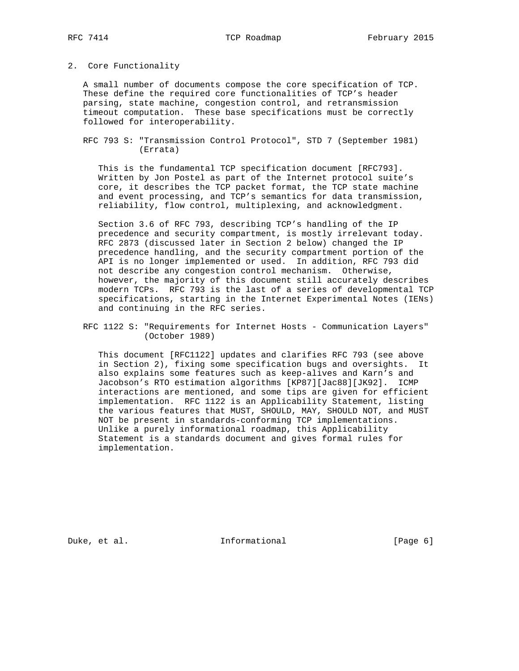2. Core Functionality

 A small number of documents compose the core specification of TCP. These define the required core functionalities of TCP's header parsing, state machine, congestion control, and retransmission timeout computation. These base specifications must be correctly followed for interoperability.

 RFC 793 S: "Transmission Control Protocol", STD 7 (September 1981) (Errata)

 This is the fundamental TCP specification document [RFC793]. Written by Jon Postel as part of the Internet protocol suite's core, it describes the TCP packet format, the TCP state machine and event processing, and TCP's semantics for data transmission, reliability, flow control, multiplexing, and acknowledgment.

 Section 3.6 of RFC 793, describing TCP's handling of the IP precedence and security compartment, is mostly irrelevant today. RFC 2873 (discussed later in Section 2 below) changed the IP precedence handling, and the security compartment portion of the API is no longer implemented or used. In addition, RFC 793 did not describe any congestion control mechanism. Otherwise, however, the majority of this document still accurately describes modern TCPs. RFC 793 is the last of a series of developmental TCP specifications, starting in the Internet Experimental Notes (IENs) and continuing in the RFC series.

 RFC 1122 S: "Requirements for Internet Hosts - Communication Layers" (October 1989)

 This document [RFC1122] updates and clarifies RFC 793 (see above in Section 2), fixing some specification bugs and oversights. It also explains some features such as keep-alives and Karn's and Jacobson's RTO estimation algorithms [KP87][Jac88][JK92]. ICMP interactions are mentioned, and some tips are given for efficient implementation. RFC 1122 is an Applicability Statement, listing the various features that MUST, SHOULD, MAY, SHOULD NOT, and MUST NOT be present in standards-conforming TCP implementations. Unlike a purely informational roadmap, this Applicability Statement is a standards document and gives formal rules for implementation.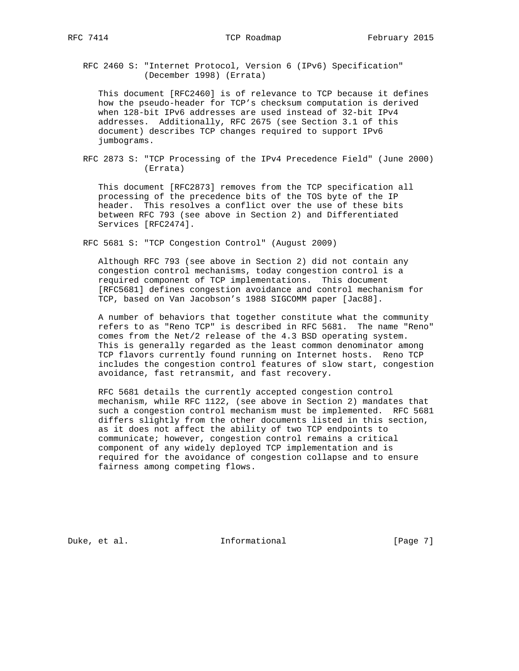RFC 2460 S: "Internet Protocol, Version 6 (IPv6) Specification" (December 1998) (Errata)

 This document [RFC2460] is of relevance to TCP because it defines how the pseudo-header for TCP's checksum computation is derived when 128-bit IPv6 addresses are used instead of 32-bit IPv4 addresses. Additionally, RFC 2675 (see Section 3.1 of this document) describes TCP changes required to support IPv6 jumbograms.

 RFC 2873 S: "TCP Processing of the IPv4 Precedence Field" (June 2000) (Errata)

 This document [RFC2873] removes from the TCP specification all processing of the precedence bits of the TOS byte of the IP header. This resolves a conflict over the use of these bits between RFC 793 (see above in Section 2) and Differentiated Services [RFC2474].

RFC 5681 S: "TCP Congestion Control" (August 2009)

 Although RFC 793 (see above in Section 2) did not contain any congestion control mechanisms, today congestion control is a required component of TCP implementations. This document [RFC5681] defines congestion avoidance and control mechanism for TCP, based on Van Jacobson's 1988 SIGCOMM paper [Jac88].

 A number of behaviors that together constitute what the community refers to as "Reno TCP" is described in RFC 5681. The name "Reno" comes from the Net/2 release of the 4.3 BSD operating system. This is generally regarded as the least common denominator among TCP flavors currently found running on Internet hosts. Reno TCP includes the congestion control features of slow start, congestion avoidance, fast retransmit, and fast recovery.

 RFC 5681 details the currently accepted congestion control mechanism, while RFC 1122, (see above in Section 2) mandates that such a congestion control mechanism must be implemented. RFC 5681 differs slightly from the other documents listed in this section, as it does not affect the ability of two TCP endpoints to communicate; however, congestion control remains a critical component of any widely deployed TCP implementation and is required for the avoidance of congestion collapse and to ensure fairness among competing flows.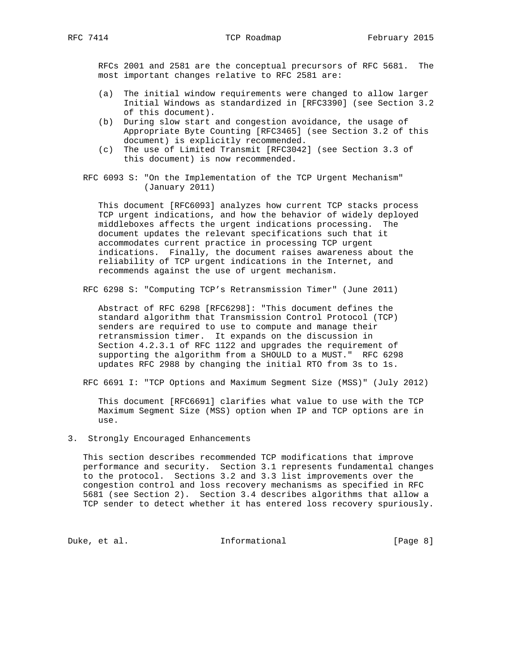RFCs 2001 and 2581 are the conceptual precursors of RFC 5681. The most important changes relative to RFC 2581 are:

- (a) The initial window requirements were changed to allow larger Initial Windows as standardized in [RFC3390] (see Section 3.2 of this document).
- (b) During slow start and congestion avoidance, the usage of Appropriate Byte Counting [RFC3465] (see Section 3.2 of this document) is explicitly recommended.
- (c) The use of Limited Transmit [RFC3042] (see Section 3.3 of this document) is now recommended.
- RFC 6093 S: "On the Implementation of the TCP Urgent Mechanism" (January 2011)

 This document [RFC6093] analyzes how current TCP stacks process TCP urgent indications, and how the behavior of widely deployed middleboxes affects the urgent indications processing. The document updates the relevant specifications such that it accommodates current practice in processing TCP urgent indications. Finally, the document raises awareness about the reliability of TCP urgent indications in the Internet, and recommends against the use of urgent mechanism.

RFC 6298 S: "Computing TCP's Retransmission Timer" (June 2011)

 Abstract of RFC 6298 [RFC6298]: "This document defines the standard algorithm that Transmission Control Protocol (TCP) senders are required to use to compute and manage their retransmission timer. It expands on the discussion in Section 4.2.3.1 of RFC 1122 and upgrades the requirement of supporting the algorithm from a SHOULD to a MUST." RFC 6298 updates RFC 2988 by changing the initial RTO from 3s to 1s.

RFC 6691 I: "TCP Options and Maximum Segment Size (MSS)" (July 2012)

 This document [RFC6691] clarifies what value to use with the TCP Maximum Segment Size (MSS) option when IP and TCP options are in use.

### 3. Strongly Encouraged Enhancements

 This section describes recommended TCP modifications that improve performance and security. Section 3.1 represents fundamental changes to the protocol. Sections 3.2 and 3.3 list improvements over the congestion control and loss recovery mechanisms as specified in RFC 5681 (see Section 2). Section 3.4 describes algorithms that allow a TCP sender to detect whether it has entered loss recovery spuriously.

Duke, et al. The informational and the same set of  $[Page 8]$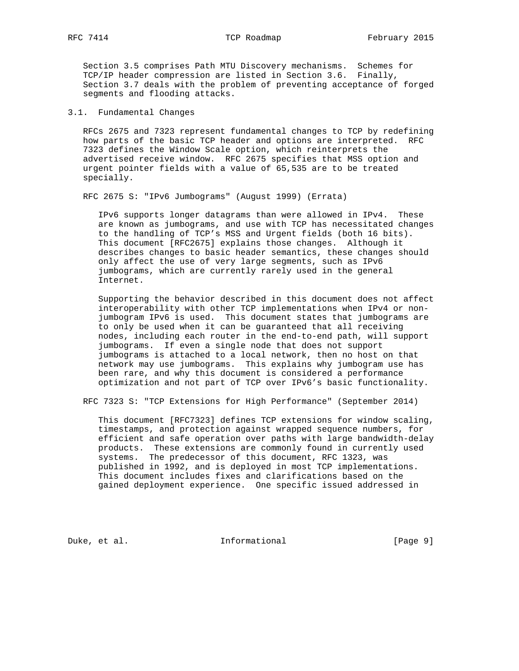Section 3.5 comprises Path MTU Discovery mechanisms. Schemes for TCP/IP header compression are listed in Section 3.6. Finally, Section 3.7 deals with the problem of preventing acceptance of forged segments and flooding attacks.

## 3.1. Fundamental Changes

 RFCs 2675 and 7323 represent fundamental changes to TCP by redefining how parts of the basic TCP header and options are interpreted. RFC 7323 defines the Window Scale option, which reinterprets the advertised receive window. RFC 2675 specifies that MSS option and urgent pointer fields with a value of 65,535 are to be treated specially.

RFC 2675 S: "IPv6 Jumbograms" (August 1999) (Errata)

 IPv6 supports longer datagrams than were allowed in IPv4. These are known as jumbograms, and use with TCP has necessitated changes to the handling of TCP's MSS and Urgent fields (both 16 bits). This document [RFC2675] explains those changes. Although it describes changes to basic header semantics, these changes should only affect the use of very large segments, such as IPv6 jumbograms, which are currently rarely used in the general Internet.

 Supporting the behavior described in this document does not affect interoperability with other TCP implementations when IPv4 or non jumbogram IPv6 is used. This document states that jumbograms are to only be used when it can be guaranteed that all receiving nodes, including each router in the end-to-end path, will support jumbograms. If even a single node that does not support jumbograms is attached to a local network, then no host on that network may use jumbograms. This explains why jumbogram use has been rare, and why this document is considered a performance optimization and not part of TCP over IPv6's basic functionality.

RFC 7323 S: "TCP Extensions for High Performance" (September 2014)

 This document [RFC7323] defines TCP extensions for window scaling, timestamps, and protection against wrapped sequence numbers, for efficient and safe operation over paths with large bandwidth-delay products. These extensions are commonly found in currently used systems. The predecessor of this document, RFC 1323, was published in 1992, and is deployed in most TCP implementations. This document includes fixes and clarifications based on the gained deployment experience. One specific issued addressed in

Duke, et al. 100 and 100 and 111 and 100 and 100 and 100 and 100 and 100 and 100 and 100 and 100 and 100 and 1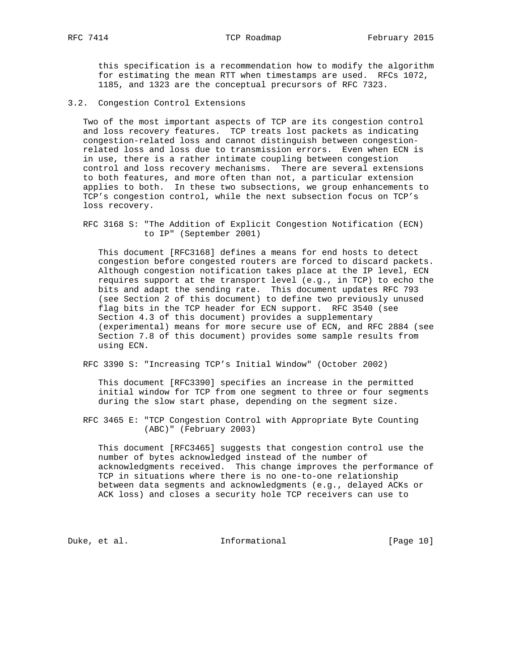this specification is a recommendation how to modify the algorithm for estimating the mean RTT when timestamps are used. RFCs 1072, 1185, and 1323 are the conceptual precursors of RFC 7323.

3.2. Congestion Control Extensions

 Two of the most important aspects of TCP are its congestion control and loss recovery features. TCP treats lost packets as indicating congestion-related loss and cannot distinguish between congestion related loss and loss due to transmission errors. Even when ECN is in use, there is a rather intimate coupling between congestion control and loss recovery mechanisms. There are several extensions to both features, and more often than not, a particular extension applies to both. In these two subsections, we group enhancements to TCP's congestion control, while the next subsection focus on TCP's loss recovery.

 RFC 3168 S: "The Addition of Explicit Congestion Notification (ECN) to IP" (September 2001)

 This document [RFC3168] defines a means for end hosts to detect congestion before congested routers are forced to discard packets. Although congestion notification takes place at the IP level, ECN requires support at the transport level (e.g., in TCP) to echo the bits and adapt the sending rate. This document updates RFC 793 (see Section 2 of this document) to define two previously unused flag bits in the TCP header for ECN support. RFC 3540 (see Section 4.3 of this document) provides a supplementary (experimental) means for more secure use of ECN, and RFC 2884 (see Section 7.8 of this document) provides some sample results from using ECN.

RFC 3390 S: "Increasing TCP's Initial Window" (October 2002)

 This document [RFC3390] specifies an increase in the permitted initial window for TCP from one segment to three or four segments during the slow start phase, depending on the segment size.

 RFC 3465 E: "TCP Congestion Control with Appropriate Byte Counting (ABC)" (February 2003)

 This document [RFC3465] suggests that congestion control use the number of bytes acknowledged instead of the number of acknowledgments received. This change improves the performance of TCP in situations where there is no one-to-one relationship between data segments and acknowledgments (e.g., delayed ACKs or ACK loss) and closes a security hole TCP receivers can use to

Duke, et al. 10 mm informational [Page 10]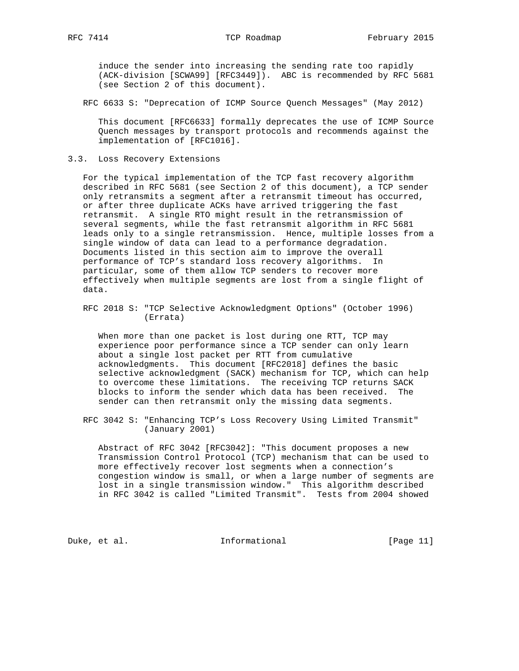induce the sender into increasing the sending rate too rapidly (ACK-division [SCWA99] [RFC3449]). ABC is recommended by RFC 5681 (see Section 2 of this document).

RFC 6633 S: "Deprecation of ICMP Source Quench Messages" (May 2012)

 This document [RFC6633] formally deprecates the use of ICMP Source Quench messages by transport protocols and recommends against the implementation of [RFC1016].

3.3. Loss Recovery Extensions

 For the typical implementation of the TCP fast recovery algorithm described in RFC 5681 (see Section 2 of this document), a TCP sender only retransmits a segment after a retransmit timeout has occurred, or after three duplicate ACKs have arrived triggering the fast retransmit. A single RTO might result in the retransmission of several segments, while the fast retransmit algorithm in RFC 5681 leads only to a single retransmission. Hence, multiple losses from a single window of data can lead to a performance degradation. Documents listed in this section aim to improve the overall performance of TCP's standard loss recovery algorithms. In particular, some of them allow TCP senders to recover more effectively when multiple segments are lost from a single flight of data.

 RFC 2018 S: "TCP Selective Acknowledgment Options" (October 1996) (Errata)

When more than one packet is lost during one RTT, TCP may experience poor performance since a TCP sender can only learn about a single lost packet per RTT from cumulative acknowledgments. This document [RFC2018] defines the basic selective acknowledgment (SACK) mechanism for TCP, which can help to overcome these limitations. The receiving TCP returns SACK blocks to inform the sender which data has been received. The sender can then retransmit only the missing data segments.

 RFC 3042 S: "Enhancing TCP's Loss Recovery Using Limited Transmit" (January 2001)

 Abstract of RFC 3042 [RFC3042]: "This document proposes a new Transmission Control Protocol (TCP) mechanism that can be used to more effectively recover lost segments when a connection's congestion window is small, or when a large number of segments are lost in a single transmission window." This algorithm described in RFC 3042 is called "Limited Transmit". Tests from 2004 showed

Duke, et al. 10. Informational 1. [Page 11]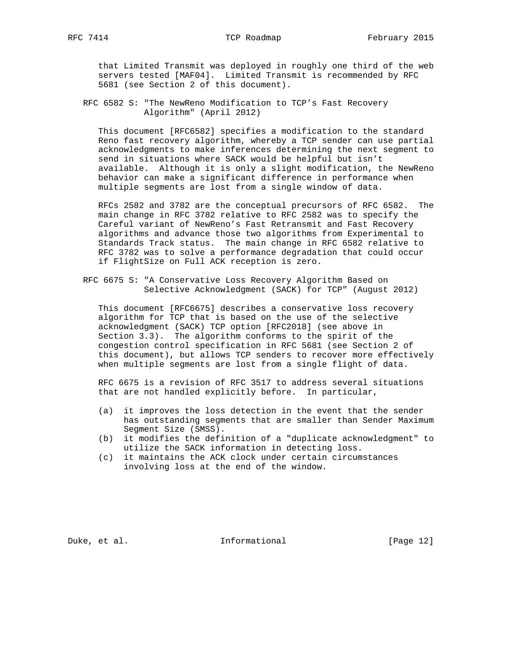that Limited Transmit was deployed in roughly one third of the web servers tested [MAF04]. Limited Transmit is recommended by RFC 5681 (see Section 2 of this document).

 RFC 6582 S: "The NewReno Modification to TCP's Fast Recovery Algorithm" (April 2012)

 This document [RFC6582] specifies a modification to the standard Reno fast recovery algorithm, whereby a TCP sender can use partial acknowledgments to make inferences determining the next segment to send in situations where SACK would be helpful but isn't available. Although it is only a slight modification, the NewReno behavior can make a significant difference in performance when multiple segments are lost from a single window of data.

 RFCs 2582 and 3782 are the conceptual precursors of RFC 6582. The main change in RFC 3782 relative to RFC 2582 was to specify the Careful variant of NewReno's Fast Retransmit and Fast Recovery algorithms and advance those two algorithms from Experimental to Standards Track status. The main change in RFC 6582 relative to RFC 3782 was to solve a performance degradation that could occur if FlightSize on Full ACK reception is zero.

 RFC 6675 S: "A Conservative Loss Recovery Algorithm Based on Selective Acknowledgment (SACK) for TCP" (August 2012)

 This document [RFC6675] describes a conservative loss recovery algorithm for TCP that is based on the use of the selective acknowledgment (SACK) TCP option [RFC2018] (see above in Section 3.3). The algorithm conforms to the spirit of the congestion control specification in RFC 5681 (see Section 2 of this document), but allows TCP senders to recover more effectively when multiple segments are lost from a single flight of data.

 RFC 6675 is a revision of RFC 3517 to address several situations that are not handled explicitly before. In particular,

- (a) it improves the loss detection in the event that the sender has outstanding segments that are smaller than Sender Maximum Segment Size (SMSS).
- (b) it modifies the definition of a "duplicate acknowledgment" to utilize the SACK information in detecting loss.
- (c) it maintains the ACK clock under certain circumstances involving loss at the end of the window.

Duke, et al. 100 mm informational [Page 12]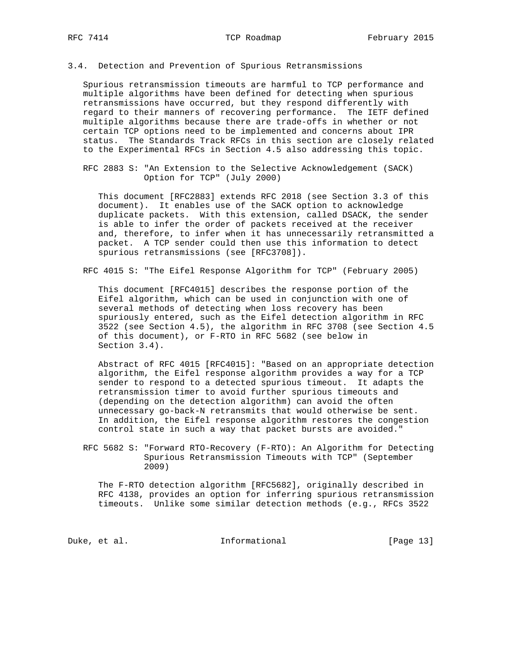3.4. Detection and Prevention of Spurious Retransmissions

 Spurious retransmission timeouts are harmful to TCP performance and multiple algorithms have been defined for detecting when spurious retransmissions have occurred, but they respond differently with regard to their manners of recovering performance. The IETF defined multiple algorithms because there are trade-offs in whether or not certain TCP options need to be implemented and concerns about IPR status. The Standards Track RFCs in this section are closely related to the Experimental RFCs in Section 4.5 also addressing this topic.

 RFC 2883 S: "An Extension to the Selective Acknowledgement (SACK) Option for TCP" (July 2000)

 This document [RFC2883] extends RFC 2018 (see Section 3.3 of this document). It enables use of the SACK option to acknowledge duplicate packets. With this extension, called DSACK, the sender is able to infer the order of packets received at the receiver and, therefore, to infer when it has unnecessarily retransmitted a packet. A TCP sender could then use this information to detect spurious retransmissions (see [RFC3708]).

RFC 4015 S: "The Eifel Response Algorithm for TCP" (February 2005)

 This document [RFC4015] describes the response portion of the Eifel algorithm, which can be used in conjunction with one of several methods of detecting when loss recovery has been spuriously entered, such as the Eifel detection algorithm in RFC 3522 (see Section 4.5), the algorithm in RFC 3708 (see Section 4.5 of this document), or F-RTO in RFC 5682 (see below in Section 3.4).

 Abstract of RFC 4015 [RFC4015]: "Based on an appropriate detection algorithm, the Eifel response algorithm provides a way for a TCP sender to respond to a detected spurious timeout. It adapts the retransmission timer to avoid further spurious timeouts and (depending on the detection algorithm) can avoid the often unnecessary go-back-N retransmits that would otherwise be sent. In addition, the Eifel response algorithm restores the congestion control state in such a way that packet bursts are avoided."

 RFC 5682 S: "Forward RTO-Recovery (F-RTO): An Algorithm for Detecting Spurious Retransmission Timeouts with TCP" (September 2009)

 The F-RTO detection algorithm [RFC5682], originally described in RFC 4138, provides an option for inferring spurious retransmission timeouts. Unlike some similar detection methods (e.g., RFCs 3522

Duke, et al. 10 mm informational [Page 13]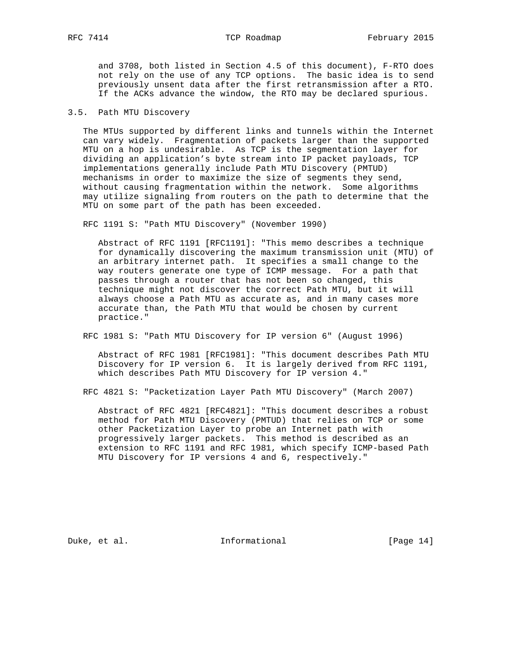and 3708, both listed in Section 4.5 of this document), F-RTO does not rely on the use of any TCP options. The basic idea is to send previously unsent data after the first retransmission after a RTO. If the ACKs advance the window, the RTO may be declared spurious.

# 3.5. Path MTU Discovery

 The MTUs supported by different links and tunnels within the Internet can vary widely. Fragmentation of packets larger than the supported MTU on a hop is undesirable. As TCP is the segmentation layer for dividing an application's byte stream into IP packet payloads, TCP implementations generally include Path MTU Discovery (PMTUD) mechanisms in order to maximize the size of segments they send, without causing fragmentation within the network. Some algorithms may utilize signaling from routers on the path to determine that the MTU on some part of the path has been exceeded.

RFC 1191 S: "Path MTU Discovery" (November 1990)

 Abstract of RFC 1191 [RFC1191]: "This memo describes a technique for dynamically discovering the maximum transmission unit (MTU) of an arbitrary internet path. It specifies a small change to the way routers generate one type of ICMP message. For a path that passes through a router that has not been so changed, this technique might not discover the correct Path MTU, but it will always choose a Path MTU as accurate as, and in many cases more accurate than, the Path MTU that would be chosen by current practice."

RFC 1981 S: "Path MTU Discovery for IP version 6" (August 1996)

 Abstract of RFC 1981 [RFC1981]: "This document describes Path MTU Discovery for IP version 6. It is largely derived from RFC 1191, which describes Path MTU Discovery for IP version 4."

RFC 4821 S: "Packetization Layer Path MTU Discovery" (March 2007)

 Abstract of RFC 4821 [RFC4821]: "This document describes a robust method for Path MTU Discovery (PMTUD) that relies on TCP or some other Packetization Layer to probe an Internet path with progressively larger packets. This method is described as an extension to RFC 1191 and RFC 1981, which specify ICMP-based Path MTU Discovery for IP versions 4 and 6, respectively."

Duke, et al. 10. Informational [Page 14]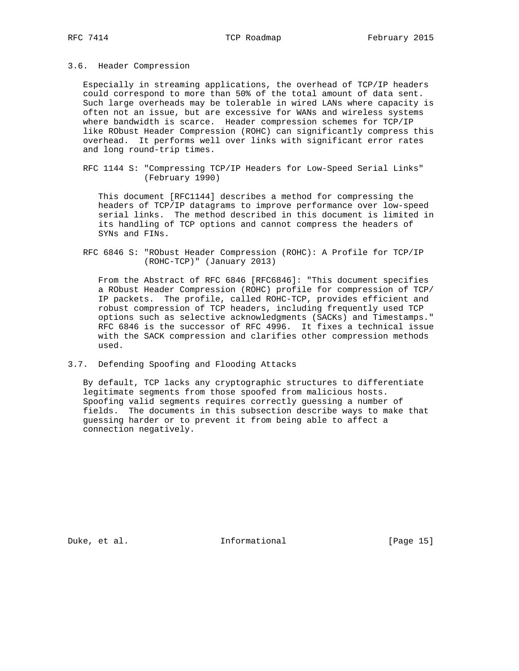3.6. Header Compression

 Especially in streaming applications, the overhead of TCP/IP headers could correspond to more than 50% of the total amount of data sent. Such large overheads may be tolerable in wired LANs where capacity is often not an issue, but are excessive for WANs and wireless systems where bandwidth is scarce. Header compression schemes for TCP/IP like RObust Header Compression (ROHC) can significantly compress this overhead. It performs well over links with significant error rates and long round-trip times.

 RFC 1144 S: "Compressing TCP/IP Headers for Low-Speed Serial Links" (February 1990)

 This document [RFC1144] describes a method for compressing the headers of TCP/IP datagrams to improve performance over low-speed serial links. The method described in this document is limited in its handling of TCP options and cannot compress the headers of SYNs and FINs.

 RFC 6846 S: "RObust Header Compression (ROHC): A Profile for TCP/IP (ROHC-TCP)" (January 2013)

 From the Abstract of RFC 6846 [RFC6846]: "This document specifies a RObust Header Compression (ROHC) profile for compression of TCP/ IP packets. The profile, called ROHC-TCP, provides efficient and robust compression of TCP headers, including frequently used TCP options such as selective acknowledgments (SACKs) and Timestamps." RFC 6846 is the successor of RFC 4996. It fixes a technical issue with the SACK compression and clarifies other compression methods used.

3.7. Defending Spoofing and Flooding Attacks

 By default, TCP lacks any cryptographic structures to differentiate legitimate segments from those spoofed from malicious hosts. Spoofing valid segments requires correctly guessing a number of fields. The documents in this subsection describe ways to make that guessing harder or to prevent it from being able to affect a connection negatively.

Duke, et al. 10. Informational [Page 15]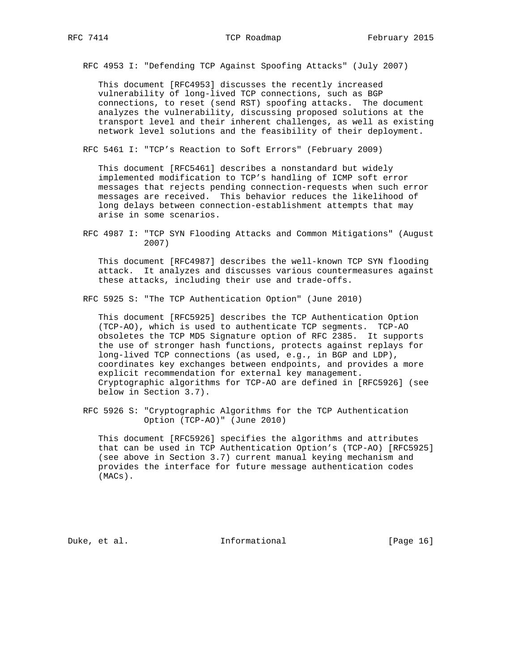RFC 4953 I: "Defending TCP Against Spoofing Attacks" (July 2007)

 This document [RFC4953] discusses the recently increased vulnerability of long-lived TCP connections, such as BGP connections, to reset (send RST) spoofing attacks. The document analyzes the vulnerability, discussing proposed solutions at the transport level and their inherent challenges, as well as existing network level solutions and the feasibility of their deployment.

RFC 5461 I: "TCP's Reaction to Soft Errors" (February 2009)

 This document [RFC5461] describes a nonstandard but widely implemented modification to TCP's handling of ICMP soft error messages that rejects pending connection-requests when such error messages are received. This behavior reduces the likelihood of long delays between connection-establishment attempts that may arise in some scenarios.

 RFC 4987 I: "TCP SYN Flooding Attacks and Common Mitigations" (August 2007)

 This document [RFC4987] describes the well-known TCP SYN flooding attack. It analyzes and discusses various countermeasures against these attacks, including their use and trade-offs.

RFC 5925 S: "The TCP Authentication Option" (June 2010)

 This document [RFC5925] describes the TCP Authentication Option (TCP-AO), which is used to authenticate TCP segments. TCP-AO obsoletes the TCP MD5 Signature option of RFC 2385. It supports the use of stronger hash functions, protects against replays for long-lived TCP connections (as used, e.g., in BGP and LDP), coordinates key exchanges between endpoints, and provides a more explicit recommendation for external key management. Cryptographic algorithms for TCP-AO are defined in [RFC5926] (see below in Section 3.7).

 RFC 5926 S: "Cryptographic Algorithms for the TCP Authentication Option (TCP-AO)" (June 2010)

 This document [RFC5926] specifies the algorithms and attributes that can be used in TCP Authentication Option's (TCP-AO) [RFC5925] (see above in Section 3.7) current manual keying mechanism and provides the interface for future message authentication codes (MACs).

Duke, et al. 10. Informational [Page 16]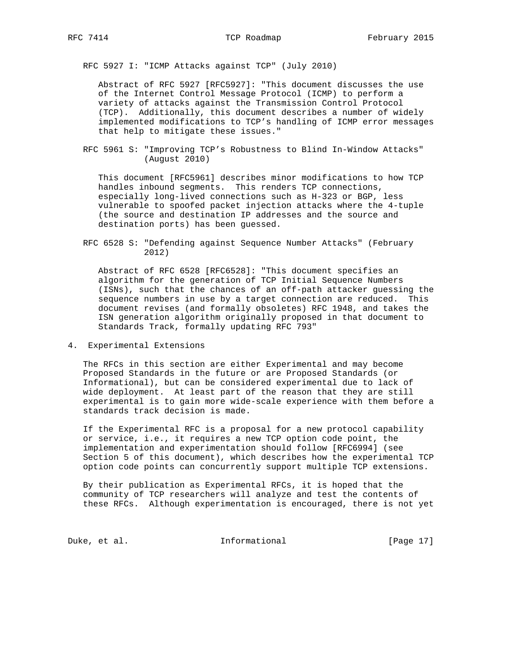RFC 5927 I: "ICMP Attacks against TCP" (July 2010)

 Abstract of RFC 5927 [RFC5927]: "This document discusses the use of the Internet Control Message Protocol (ICMP) to perform a variety of attacks against the Transmission Control Protocol (TCP). Additionally, this document describes a number of widely implemented modifications to TCP's handling of ICMP error messages that help to mitigate these issues."

 RFC 5961 S: "Improving TCP's Robustness to Blind In-Window Attacks" (August 2010)

 This document [RFC5961] describes minor modifications to how TCP handles inbound segments. This renders TCP connections, especially long-lived connections such as H-323 or BGP, less vulnerable to spoofed packet injection attacks where the 4-tuple (the source and destination IP addresses and the source and destination ports) has been guessed.

 RFC 6528 S: "Defending against Sequence Number Attacks" (February 2012)

 Abstract of RFC 6528 [RFC6528]: "This document specifies an algorithm for the generation of TCP Initial Sequence Numbers (ISNs), such that the chances of an off-path attacker guessing the sequence numbers in use by a target connection are reduced. This document revises (and formally obsoletes) RFC 1948, and takes the ISN generation algorithm originally proposed in that document to Standards Track, formally updating RFC 793"

4. Experimental Extensions

 The RFCs in this section are either Experimental and may become Proposed Standards in the future or are Proposed Standards (or Informational), but can be considered experimental due to lack of wide deployment. At least part of the reason that they are still experimental is to gain more wide-scale experience with them before a standards track decision is made.

 If the Experimental RFC is a proposal for a new protocol capability or service, i.e., it requires a new TCP option code point, the implementation and experimentation should follow [RFC6994] (see Section 5 of this document), which describes how the experimental TCP option code points can concurrently support multiple TCP extensions.

 By their publication as Experimental RFCs, it is hoped that the community of TCP researchers will analyze and test the contents of these RFCs. Although experimentation is encouraged, there is not yet

Duke, et al. 10. Informational [Page 17]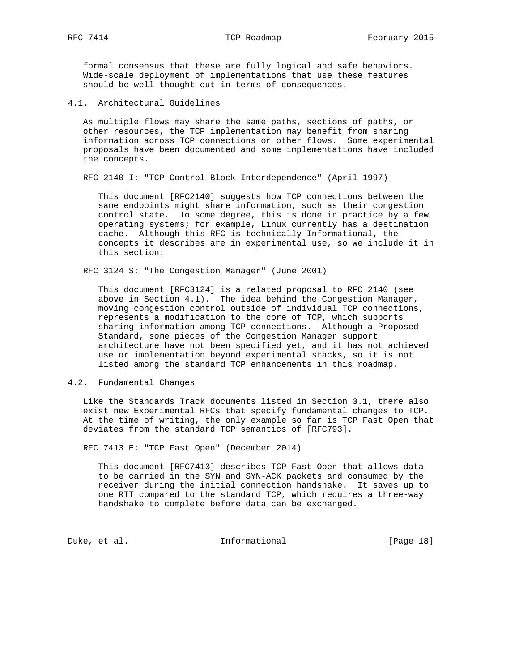formal consensus that these are fully logical and safe behaviors. Wide-scale deployment of implementations that use these features should be well thought out in terms of consequences.

4.1. Architectural Guidelines

 As multiple flows may share the same paths, sections of paths, or other resources, the TCP implementation may benefit from sharing information across TCP connections or other flows. Some experimental proposals have been documented and some implementations have included the concepts.

RFC 2140 I: "TCP Control Block Interdependence" (April 1997)

 This document [RFC2140] suggests how TCP connections between the same endpoints might share information, such as their congestion control state. To some degree, this is done in practice by a few operating systems; for example, Linux currently has a destination cache. Although this RFC is technically Informational, the concepts it describes are in experimental use, so we include it in this section.

RFC 3124 S: "The Congestion Manager" (June 2001)

 This document [RFC3124] is a related proposal to RFC 2140 (see above in Section 4.1). The idea behind the Congestion Manager, moving congestion control outside of individual TCP connections, represents a modification to the core of TCP, which supports sharing information among TCP connections. Although a Proposed Standard, some pieces of the Congestion Manager support architecture have not been specified yet, and it has not achieved use or implementation beyond experimental stacks, so it is not listed among the standard TCP enhancements in this roadmap.

## 4.2. Fundamental Changes

 Like the Standards Track documents listed in Section 3.1, there also exist new Experimental RFCs that specify fundamental changes to TCP. At the time of writing, the only example so far is TCP Fast Open that deviates from the standard TCP semantics of [RFC793].

RFC 7413 E: "TCP Fast Open" (December 2014)

 This document [RFC7413] describes TCP Fast Open that allows data to be carried in the SYN and SYN-ACK packets and consumed by the receiver during the initial connection handshake. It saves up to one RTT compared to the standard TCP, which requires a three-way handshake to complete before data can be exchanged.

Duke, et al. Informational [Page 18]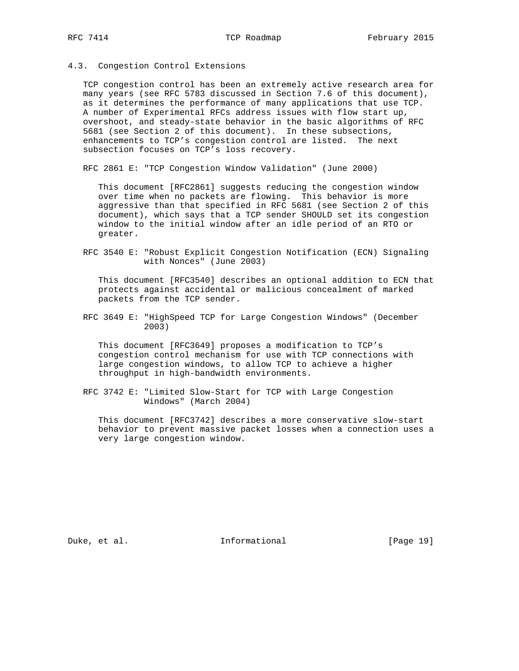#### 4.3. Congestion Control Extensions

 TCP congestion control has been an extremely active research area for many years (see RFC 5783 discussed in Section 7.6 of this document), as it determines the performance of many applications that use TCP. A number of Experimental RFCs address issues with flow start up, overshoot, and steady-state behavior in the basic algorithms of RFC 5681 (see Section 2 of this document). In these subsections, enhancements to TCP's congestion control are listed. The next subsection focuses on TCP's loss recovery.

RFC 2861 E: "TCP Congestion Window Validation" (June 2000)

 This document [RFC2861] suggests reducing the congestion window over time when no packets are flowing. This behavior is more aggressive than that specified in RFC 5681 (see Section 2 of this document), which says that a TCP sender SHOULD set its congestion window to the initial window after an idle period of an RTO or greater.

 RFC 3540 E: "Robust Explicit Congestion Notification (ECN) Signaling with Nonces" (June 2003)

 This document [RFC3540] describes an optional addition to ECN that protects against accidental or malicious concealment of marked packets from the TCP sender.

 RFC 3649 E: "HighSpeed TCP for Large Congestion Windows" (December 2003)

 This document [RFC3649] proposes a modification to TCP's congestion control mechanism for use with TCP connections with large congestion windows, to allow TCP to achieve a higher throughput in high-bandwidth environments.

 RFC 3742 E: "Limited Slow-Start for TCP with Large Congestion Windows" (March 2004)

 This document [RFC3742] describes a more conservative slow-start behavior to prevent massive packet losses when a connection uses a very large congestion window.

Duke, et al. 10. Informational [Page 19]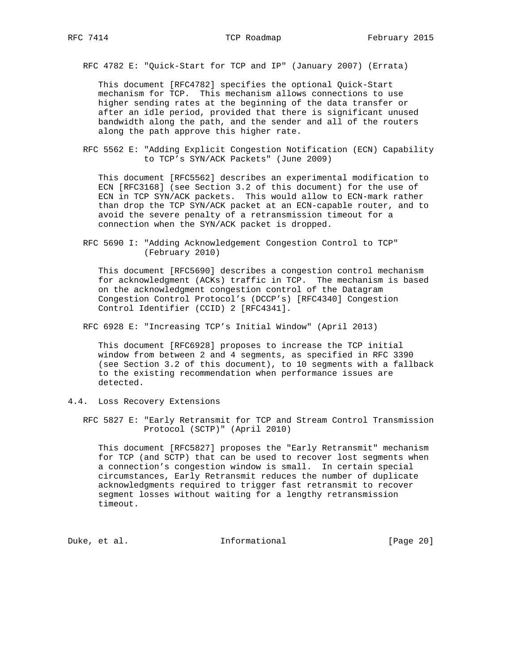RFC 4782 E: "Quick-Start for TCP and IP" (January 2007) (Errata)

 This document [RFC4782] specifies the optional Quick-Start mechanism for TCP. This mechanism allows connections to use higher sending rates at the beginning of the data transfer or after an idle period, provided that there is significant unused bandwidth along the path, and the sender and all of the routers along the path approve this higher rate.

 RFC 5562 E: "Adding Explicit Congestion Notification (ECN) Capability to TCP's SYN/ACK Packets" (June 2009)

 This document [RFC5562] describes an experimental modification to ECN [RFC3168] (see Section 3.2 of this document) for the use of ECN in TCP SYN/ACK packets. This would allow to ECN-mark rather than drop the TCP SYN/ACK packet at an ECN-capable router, and to avoid the severe penalty of a retransmission timeout for a connection when the SYN/ACK packet is dropped.

 RFC 5690 I: "Adding Acknowledgement Congestion Control to TCP" (February 2010)

 This document [RFC5690] describes a congestion control mechanism for acknowledgment (ACKs) traffic in TCP. The mechanism is based on the acknowledgment congestion control of the Datagram Congestion Control Protocol's (DCCP's) [RFC4340] Congestion Control Identifier (CCID) 2 [RFC4341].

RFC 6928 E: "Increasing TCP's Initial Window" (April 2013)

 This document [RFC6928] proposes to increase the TCP initial window from between 2 and 4 segments, as specified in RFC 3390 (see Section 3.2 of this document), to 10 segments with a fallback to the existing recommendation when performance issues are detected.

4.4. Loss Recovery Extensions

 RFC 5827 E: "Early Retransmit for TCP and Stream Control Transmission Protocol (SCTP)" (April 2010)

 This document [RFC5827] proposes the "Early Retransmit" mechanism for TCP (and SCTP) that can be used to recover lost segments when a connection's congestion window is small. In certain special circumstances, Early Retransmit reduces the number of duplicate acknowledgments required to trigger fast retransmit to recover segment losses without waiting for a lengthy retransmission timeout.

Duke, et al. 10 mm informational [Page 20]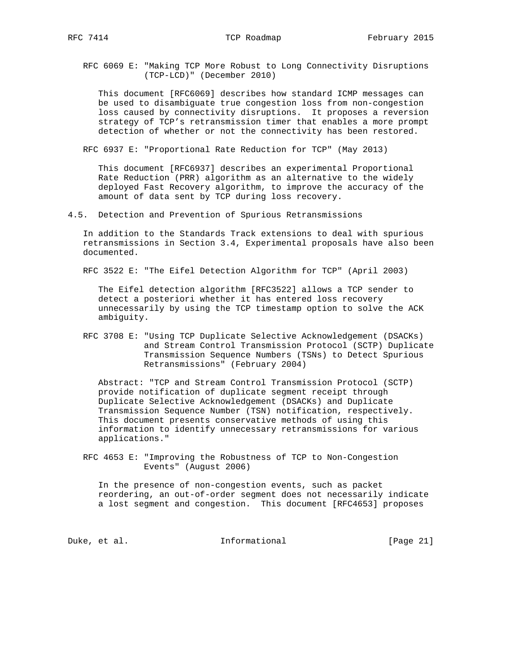RFC 6069 E: "Making TCP More Robust to Long Connectivity Disruptions (TCP-LCD)" (December 2010)

 This document [RFC6069] describes how standard ICMP messages can be used to disambiguate true congestion loss from non-congestion loss caused by connectivity disruptions. It proposes a reversion strategy of TCP's retransmission timer that enables a more prompt detection of whether or not the connectivity has been restored.

RFC 6937 E: "Proportional Rate Reduction for TCP" (May 2013)

 This document [RFC6937] describes an experimental Proportional Rate Reduction (PRR) algorithm as an alternative to the widely deployed Fast Recovery algorithm, to improve the accuracy of the amount of data sent by TCP during loss recovery.

4.5. Detection and Prevention of Spurious Retransmissions

 In addition to the Standards Track extensions to deal with spurious retransmissions in Section 3.4, Experimental proposals have also been documented.

RFC 3522 E: "The Eifel Detection Algorithm for TCP" (April 2003)

 The Eifel detection algorithm [RFC3522] allows a TCP sender to detect a posteriori whether it has entered loss recovery unnecessarily by using the TCP timestamp option to solve the ACK ambiguity.

 RFC 3708 E: "Using TCP Duplicate Selective Acknowledgement (DSACKs) and Stream Control Transmission Protocol (SCTP) Duplicate Transmission Sequence Numbers (TSNs) to Detect Spurious Retransmissions" (February 2004)

 Abstract: "TCP and Stream Control Transmission Protocol (SCTP) provide notification of duplicate segment receipt through Duplicate Selective Acknowledgement (DSACKs) and Duplicate Transmission Sequence Number (TSN) notification, respectively. This document presents conservative methods of using this information to identify unnecessary retransmissions for various applications."

 RFC 4653 E: "Improving the Robustness of TCP to Non-Congestion Events" (August 2006)

 In the presence of non-congestion events, such as packet reordering, an out-of-order segment does not necessarily indicate a lost segment and congestion. This document [RFC4653] proposes

Duke, et al. 10 mm informational [Page 21]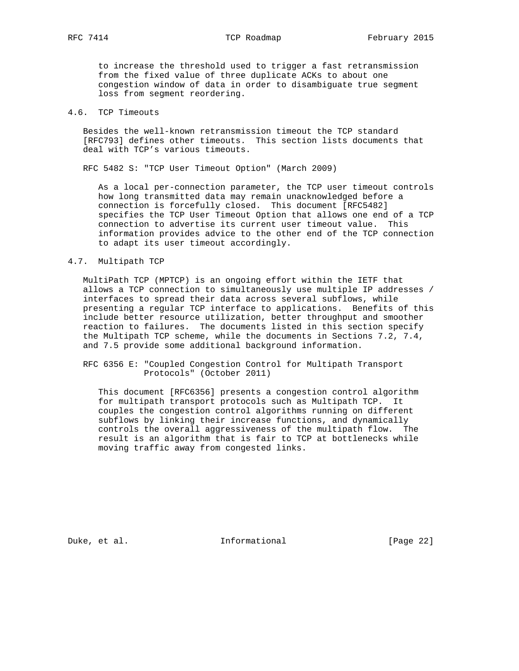to increase the threshold used to trigger a fast retransmission from the fixed value of three duplicate ACKs to about one congestion window of data in order to disambiguate true segment loss from segment reordering.

## 4.6. TCP Timeouts

 Besides the well-known retransmission timeout the TCP standard [RFC793] defines other timeouts. This section lists documents that deal with TCP's various timeouts.

RFC 5482 S: "TCP User Timeout Option" (March 2009)

 As a local per-connection parameter, the TCP user timeout controls how long transmitted data may remain unacknowledged before a connection is forcefully closed. This document [RFC5482] specifies the TCP User Timeout Option that allows one end of a TCP connection to advertise its current user timeout value. This information provides advice to the other end of the TCP connection to adapt its user timeout accordingly.

#### 4.7. Multipath TCP

 MultiPath TCP (MPTCP) is an ongoing effort within the IETF that allows a TCP connection to simultaneously use multiple IP addresses / interfaces to spread their data across several subflows, while presenting a regular TCP interface to applications. Benefits of this include better resource utilization, better throughput and smoother reaction to failures. The documents listed in this section specify the Multipath TCP scheme, while the documents in Sections 7.2, 7.4, and 7.5 provide some additional background information.

 RFC 6356 E: "Coupled Congestion Control for Multipath Transport Protocols" (October 2011)

 This document [RFC6356] presents a congestion control algorithm for multipath transport protocols such as Multipath TCP. It couples the congestion control algorithms running on different subflows by linking their increase functions, and dynamically controls the overall aggressiveness of the multipath flow. The result is an algorithm that is fair to TCP at bottlenecks while moving traffic away from congested links.

Duke, et al. 10 mm informational [Page 22]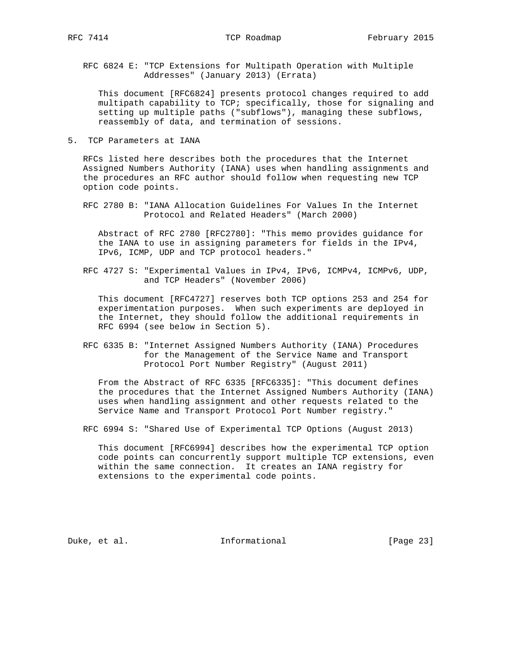RFC 6824 E: "TCP Extensions for Multipath Operation with Multiple Addresses" (January 2013) (Errata)

 This document [RFC6824] presents protocol changes required to add multipath capability to TCP; specifically, those for signaling and setting up multiple paths ("subflows"), managing these subflows, reassembly of data, and termination of sessions.

5. TCP Parameters at IANA

 RFCs listed here describes both the procedures that the Internet Assigned Numbers Authority (IANA) uses when handling assignments and the procedures an RFC author should follow when requesting new TCP option code points.

 RFC 2780 B: "IANA Allocation Guidelines For Values In the Internet Protocol and Related Headers" (March 2000)

 Abstract of RFC 2780 [RFC2780]: "This memo provides guidance for the IANA to use in assigning parameters for fields in the IPv4, IPv6, ICMP, UDP and TCP protocol headers."

 RFC 4727 S: "Experimental Values in IPv4, IPv6, ICMPv4, ICMPv6, UDP, and TCP Headers" (November 2006)

 This document [RFC4727] reserves both TCP options 253 and 254 for experimentation purposes. When such experiments are deployed in the Internet, they should follow the additional requirements in RFC 6994 (see below in Section 5).

 RFC 6335 B: "Internet Assigned Numbers Authority (IANA) Procedures for the Management of the Service Name and Transport Protocol Port Number Registry" (August 2011)

 From the Abstract of RFC 6335 [RFC6335]: "This document defines the procedures that the Internet Assigned Numbers Authority (IANA) uses when handling assignment and other requests related to the Service Name and Transport Protocol Port Number registry."

RFC 6994 S: "Shared Use of Experimental TCP Options (August 2013)

 This document [RFC6994] describes how the experimental TCP option code points can concurrently support multiple TCP extensions, even within the same connection. It creates an IANA registry for extensions to the experimental code points.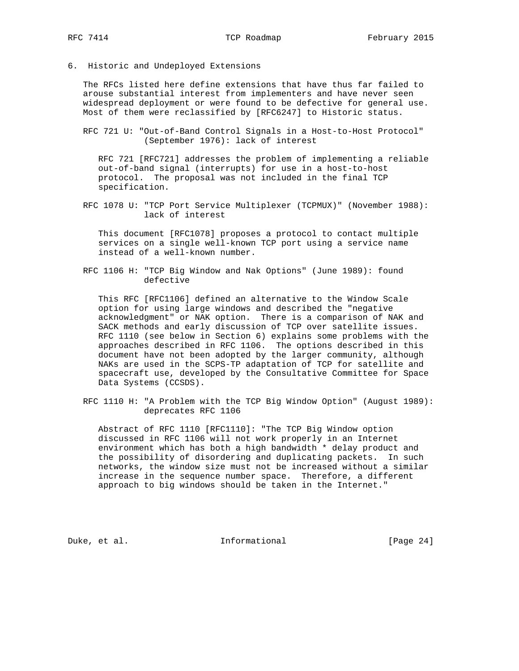6. Historic and Undeployed Extensions

 The RFCs listed here define extensions that have thus far failed to arouse substantial interest from implementers and have never seen widespread deployment or were found to be defective for general use. Most of them were reclassified by [RFC6247] to Historic status.

 RFC 721 U: "Out-of-Band Control Signals in a Host-to-Host Protocol" (September 1976): lack of interest

 RFC 721 [RFC721] addresses the problem of implementing a reliable out-of-band signal (interrupts) for use in a host-to-host protocol. The proposal was not included in the final TCP specification.

 RFC 1078 U: "TCP Port Service Multiplexer (TCPMUX)" (November 1988): lack of interest

 This document [RFC1078] proposes a protocol to contact multiple services on a single well-known TCP port using a service name instead of a well-known number.

 RFC 1106 H: "TCP Big Window and Nak Options" (June 1989): found defective

 This RFC [RFC1106] defined an alternative to the Window Scale option for using large windows and described the "negative acknowledgment" or NAK option. There is a comparison of NAK and SACK methods and early discussion of TCP over satellite issues. RFC 1110 (see below in Section 6) explains some problems with the approaches described in RFC 1106. The options described in this document have not been adopted by the larger community, although NAKs are used in the SCPS-TP adaptation of TCP for satellite and spacecraft use, developed by the Consultative Committee for Space Data Systems (CCSDS).

 RFC 1110 H: "A Problem with the TCP Big Window Option" (August 1989): deprecates RFC 1106

 Abstract of RFC 1110 [RFC1110]: "The TCP Big Window option discussed in RFC 1106 will not work properly in an Internet environment which has both a high bandwidth \* delay product and the possibility of disordering and duplicating packets. In such networks, the window size must not be increased without a similar increase in the sequence number space. Therefore, a different approach to big windows should be taken in the Internet."

Duke, et al. 10 1nformational [Page 24]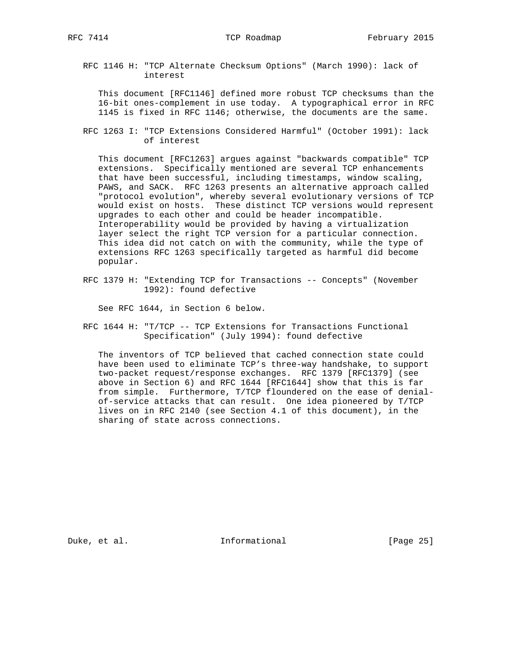RFC 1146 H: "TCP Alternate Checksum Options" (March 1990): lack of interest

 This document [RFC1146] defined more robust TCP checksums than the 16-bit ones-complement in use today. A typographical error in RFC 1145 is fixed in RFC 1146; otherwise, the documents are the same.

 RFC 1263 I: "TCP Extensions Considered Harmful" (October 1991): lack of interest

 This document [RFC1263] argues against "backwards compatible" TCP extensions. Specifically mentioned are several TCP enhancements that have been successful, including timestamps, window scaling, PAWS, and SACK. RFC 1263 presents an alternative approach called "protocol evolution", whereby several evolutionary versions of TCP would exist on hosts. These distinct TCP versions would represent upgrades to each other and could be header incompatible. Interoperability would be provided by having a virtualization layer select the right TCP version for a particular connection. This idea did not catch on with the community, while the type of extensions RFC 1263 specifically targeted as harmful did become popular.

 RFC 1379 H: "Extending TCP for Transactions -- Concepts" (November 1992): found defective

See RFC 1644, in Section 6 below.

 RFC 1644 H: "T/TCP -- TCP Extensions for Transactions Functional Specification" (July 1994): found defective

 The inventors of TCP believed that cached connection state could have been used to eliminate TCP's three-way handshake, to support two-packet request/response exchanges. RFC 1379 [RFC1379] (see above in Section 6) and RFC 1644 [RFC1644] show that this is far from simple. Furthermore, T/TCP floundered on the ease of denial of-service attacks that can result. One idea pioneered by T/TCP lives on in RFC 2140 (see Section 4.1 of this document), in the sharing of state across connections.

Duke, et al. 10. Informational [Page 25]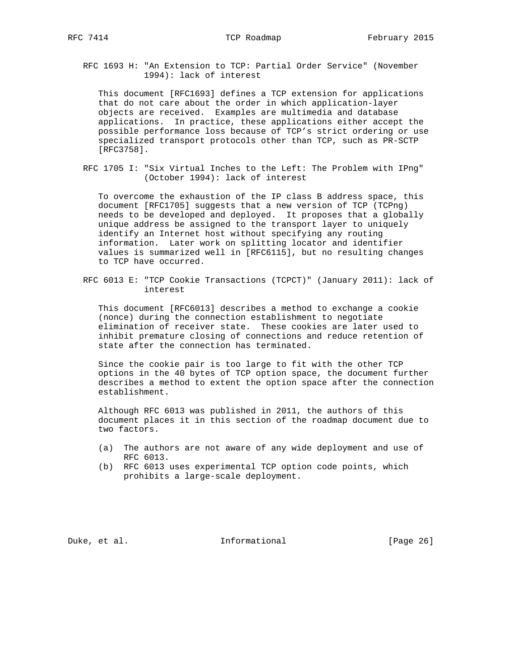RFC 1693 H: "An Extension to TCP: Partial Order Service" (November 1994): lack of interest

 This document [RFC1693] defines a TCP extension for applications that do not care about the order in which application-layer objects are received. Examples are multimedia and database applications. In practice, these applications either accept the possible performance loss because of TCP's strict ordering or use specialized transport protocols other than TCP, such as PR-SCTP [RFC3758].

 RFC 1705 I: "Six Virtual Inches to the Left: The Problem with IPng" (October 1994): lack of interest

 To overcome the exhaustion of the IP class B address space, this document [RFC1705] suggests that a new version of TCP (TCPng) needs to be developed and deployed. It proposes that a globally unique address be assigned to the transport layer to uniquely identify an Internet host without specifying any routing information. Later work on splitting locator and identifier values is summarized well in [RFC6115], but no resulting changes to TCP have occurred.

 RFC 6013 E: "TCP Cookie Transactions (TCPCT)" (January 2011): lack of interest

 This document [RFC6013] describes a method to exchange a cookie (nonce) during the connection establishment to negotiate elimination of receiver state. These cookies are later used to inhibit premature closing of connections and reduce retention of state after the connection has terminated.

 Since the cookie pair is too large to fit with the other TCP options in the 40 bytes of TCP option space, the document further describes a method to extent the option space after the connection establishment.

 Although RFC 6013 was published in 2011, the authors of this document places it in this section of the roadmap document due to two factors.

- (a) The authors are not aware of any wide deployment and use of RFC 6013.
- (b) RFC 6013 uses experimental TCP option code points, which prohibits a large-scale deployment.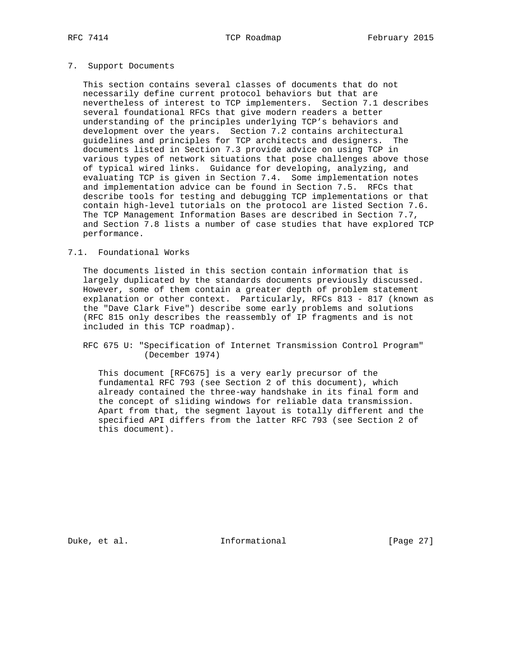#### 7. Support Documents

 This section contains several classes of documents that do not necessarily define current protocol behaviors but that are nevertheless of interest to TCP implementers. Section 7.1 describes several foundational RFCs that give modern readers a better understanding of the principles underlying TCP's behaviors and development over the years. Section 7.2 contains architectural guidelines and principles for TCP architects and designers. The documents listed in Section 7.3 provide advice on using TCP in various types of network situations that pose challenges above those of typical wired links. Guidance for developing, analyzing, and evaluating TCP is given in Section 7.4. Some implementation notes and implementation advice can be found in Section 7.5. RFCs that describe tools for testing and debugging TCP implementations or that contain high-level tutorials on the protocol are listed Section 7.6. The TCP Management Information Bases are described in Section 7.7, and Section 7.8 lists a number of case studies that have explored TCP performance.

### 7.1. Foundational Works

 The documents listed in this section contain information that is largely duplicated by the standards documents previously discussed. However, some of them contain a greater depth of problem statement explanation or other context. Particularly, RFCs 813 - 817 (known as the "Dave Clark Five") describe some early problems and solutions (RFC 815 only describes the reassembly of IP fragments and is not included in this TCP roadmap).

## RFC 675 U: "Specification of Internet Transmission Control Program" (December 1974)

 This document [RFC675] is a very early precursor of the fundamental RFC 793 (see Section 2 of this document), which already contained the three-way handshake in its final form and the concept of sliding windows for reliable data transmission. Apart from that, the segment layout is totally different and the specified API differs from the latter RFC 793 (see Section 2 of this document).

Duke, et al. 10 mm informational [Page 27]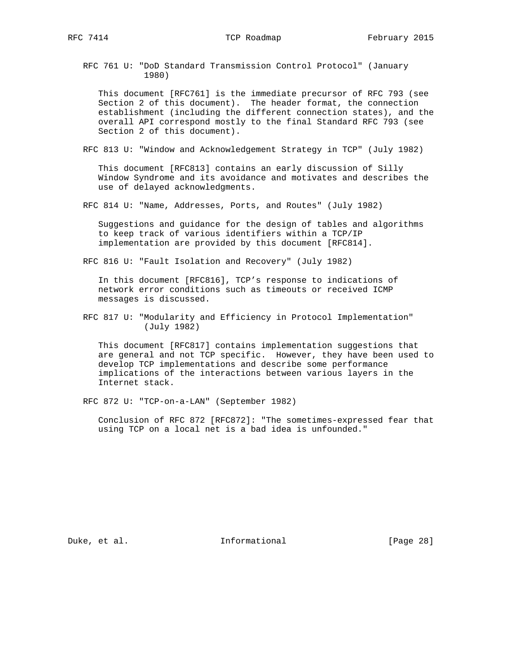RFC 761 U: "DoD Standard Transmission Control Protocol" (January 1980)

 This document [RFC761] is the immediate precursor of RFC 793 (see Section 2 of this document). The header format, the connection establishment (including the different connection states), and the overall API correspond mostly to the final Standard RFC 793 (see Section 2 of this document).

RFC 813 U: "Window and Acknowledgement Strategy in TCP" (July 1982)

 This document [RFC813] contains an early discussion of Silly Window Syndrome and its avoidance and motivates and describes the use of delayed acknowledgments.

RFC 814 U: "Name, Addresses, Ports, and Routes" (July 1982)

 Suggestions and guidance for the design of tables and algorithms to keep track of various identifiers within a TCP/IP implementation are provided by this document [RFC814].

RFC 816 U: "Fault Isolation and Recovery" (July 1982)

 In this document [RFC816], TCP's response to indications of network error conditions such as timeouts or received ICMP messages is discussed.

 RFC 817 U: "Modularity and Efficiency in Protocol Implementation" (July 1982)

 This document [RFC817] contains implementation suggestions that are general and not TCP specific. However, they have been used to develop TCP implementations and describe some performance implications of the interactions between various layers in the Internet stack.

RFC 872 U: "TCP-on-a-LAN" (September 1982)

 Conclusion of RFC 872 [RFC872]: "The sometimes-expressed fear that using TCP on a local net is a bad idea is unfounded."

Duke, et al. 10 mm informational [Page 28]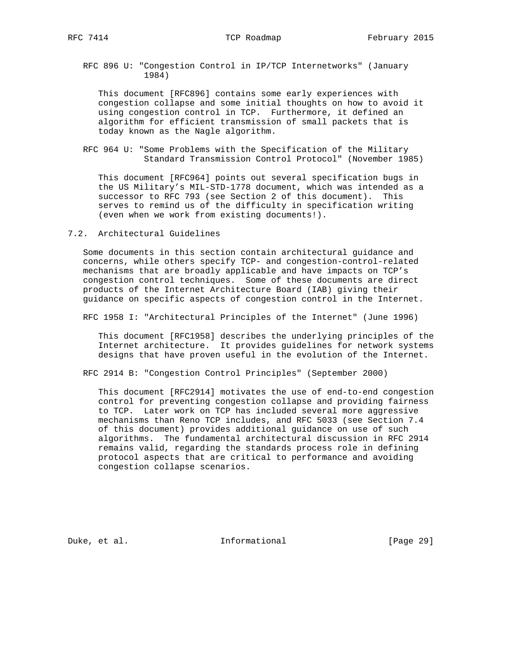RFC 896 U: "Congestion Control in IP/TCP Internetworks" (January 1984)

 This document [RFC896] contains some early experiences with congestion collapse and some initial thoughts on how to avoid it using congestion control in TCP. Furthermore, it defined an algorithm for efficient transmission of small packets that is today known as the Nagle algorithm.

 RFC 964 U: "Some Problems with the Specification of the Military Standard Transmission Control Protocol" (November 1985)

 This document [RFC964] points out several specification bugs in the US Military's MIL-STD-1778 document, which was intended as a successor to RFC 793 (see Section 2 of this document). This serves to remind us of the difficulty in specification writing (even when we work from existing documents!).

7.2. Architectural Guidelines

 Some documents in this section contain architectural guidance and concerns, while others specify TCP- and congestion-control-related mechanisms that are broadly applicable and have impacts on TCP's congestion control techniques. Some of these documents are direct products of the Internet Architecture Board (IAB) giving their guidance on specific aspects of congestion control in the Internet.

RFC 1958 I: "Architectural Principles of the Internet" (June 1996)

 This document [RFC1958] describes the underlying principles of the Internet architecture. It provides guidelines for network systems designs that have proven useful in the evolution of the Internet.

RFC 2914 B: "Congestion Control Principles" (September 2000)

 This document [RFC2914] motivates the use of end-to-end congestion control for preventing congestion collapse and providing fairness to TCP. Later work on TCP has included several more aggressive mechanisms than Reno TCP includes, and RFC 5033 (see Section 7.4 of this document) provides additional guidance on use of such algorithms. The fundamental architectural discussion in RFC 2914 remains valid, regarding the standards process role in defining protocol aspects that are critical to performance and avoiding congestion collapse scenarios.

Duke, et al. 10. Informational [Page 29]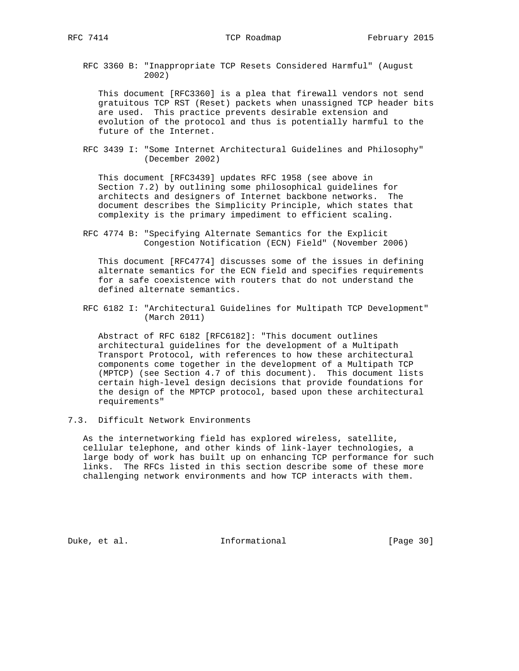RFC 3360 B: "Inappropriate TCP Resets Considered Harmful" (August 2002)

 This document [RFC3360] is a plea that firewall vendors not send gratuitous TCP RST (Reset) packets when unassigned TCP header bits are used. This practice prevents desirable extension and evolution of the protocol and thus is potentially harmful to the future of the Internet.

 RFC 3439 I: "Some Internet Architectural Guidelines and Philosophy" (December 2002)

 This document [RFC3439] updates RFC 1958 (see above in Section 7.2) by outlining some philosophical guidelines for architects and designers of Internet backbone networks. The document describes the Simplicity Principle, which states that complexity is the primary impediment to efficient scaling.

 RFC 4774 B: "Specifying Alternate Semantics for the Explicit Congestion Notification (ECN) Field" (November 2006)

 This document [RFC4774] discusses some of the issues in defining alternate semantics for the ECN field and specifies requirements for a safe coexistence with routers that do not understand the defined alternate semantics.

 RFC 6182 I: "Architectural Guidelines for Multipath TCP Development" (March 2011)

 Abstract of RFC 6182 [RFC6182]: "This document outlines architectural guidelines for the development of a Multipath Transport Protocol, with references to how these architectural components come together in the development of a Multipath TCP (MPTCP) (see Section 4.7 of this document). This document lists certain high-level design decisions that provide foundations for the design of the MPTCP protocol, based upon these architectural requirements"

7.3. Difficult Network Environments

 As the internetworking field has explored wireless, satellite, cellular telephone, and other kinds of link-layer technologies, a large body of work has built up on enhancing TCP performance for such links. The RFCs listed in this section describe some of these more challenging network environments and how TCP interacts with them.

Duke, et al. 100 and 100 and 111 and 100 and 100 and 100 and 100 and 100 and 100 and 100 and 100 and 100 and 1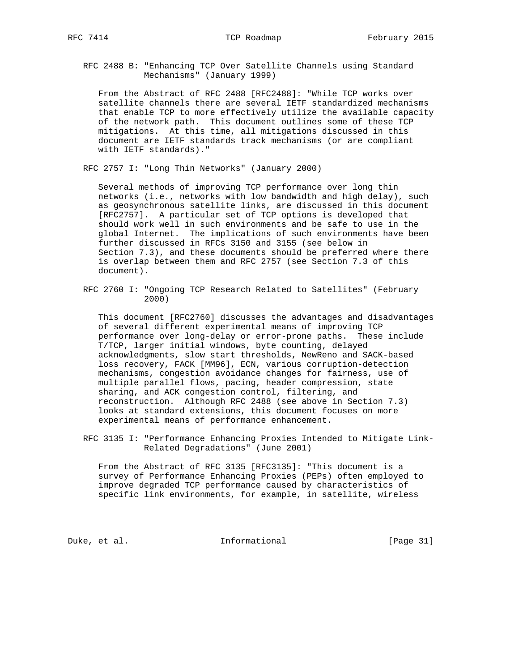RFC 2488 B: "Enhancing TCP Over Satellite Channels using Standard Mechanisms" (January 1999)

 From the Abstract of RFC 2488 [RFC2488]: "While TCP works over satellite channels there are several IETF standardized mechanisms that enable TCP to more effectively utilize the available capacity of the network path. This document outlines some of these TCP mitigations. At this time, all mitigations discussed in this document are IETF standards track mechanisms (or are compliant with IETF standards)."

RFC 2757 I: "Long Thin Networks" (January 2000)

 Several methods of improving TCP performance over long thin networks (i.e., networks with low bandwidth and high delay), such as geosynchronous satellite links, are discussed in this document [RFC2757]. A particular set of TCP options is developed that should work well in such environments and be safe to use in the global Internet. The implications of such environments have been further discussed in RFCs 3150 and 3155 (see below in Section 7.3), and these documents should be preferred where there is overlap between them and RFC 2757 (see Section 7.3 of this document).

 RFC 2760 I: "Ongoing TCP Research Related to Satellites" (February 2000)

 This document [RFC2760] discusses the advantages and disadvantages of several different experimental means of improving TCP performance over long-delay or error-prone paths. These include T/TCP, larger initial windows, byte counting, delayed acknowledgments, slow start thresholds, NewReno and SACK-based loss recovery, FACK [MM96], ECN, various corruption-detection mechanisms, congestion avoidance changes for fairness, use of multiple parallel flows, pacing, header compression, state sharing, and ACK congestion control, filtering, and reconstruction. Although RFC 2488 (see above in Section 7.3) looks at standard extensions, this document focuses on more experimental means of performance enhancement.

 RFC 3135 I: "Performance Enhancing Proxies Intended to Mitigate Link- Related Degradations" (June 2001)

 From the Abstract of RFC 3135 [RFC3135]: "This document is a survey of Performance Enhancing Proxies (PEPs) often employed to improve degraded TCP performance caused by characteristics of specific link environments, for example, in satellite, wireless

Duke, et al. 10 mm informational [Page 31]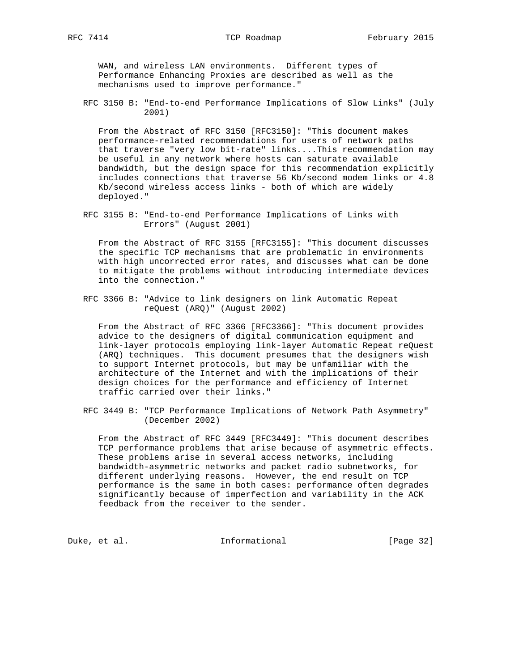WAN, and wireless LAN environments. Different types of Performance Enhancing Proxies are described as well as the mechanisms used to improve performance."

 RFC 3150 B: "End-to-end Performance Implications of Slow Links" (July 2001)

 From the Abstract of RFC 3150 [RFC3150]: "This document makes performance-related recommendations for users of network paths that traverse "very low bit-rate" links....This recommendation may be useful in any network where hosts can saturate available bandwidth, but the design space for this recommendation explicitly includes connections that traverse 56 Kb/second modem links or 4.8 Kb/second wireless access links - both of which are widely deployed."

 RFC 3155 B: "End-to-end Performance Implications of Links with Errors" (August 2001)

 From the Abstract of RFC 3155 [RFC3155]: "This document discusses the specific TCP mechanisms that are problematic in environments with high uncorrected error rates, and discusses what can be done to mitigate the problems without introducing intermediate devices into the connection."

 RFC 3366 B: "Advice to link designers on link Automatic Repeat reQuest (ARQ)" (August 2002)

 From the Abstract of RFC 3366 [RFC3366]: "This document provides advice to the designers of digital communication equipment and link-layer protocols employing link-layer Automatic Repeat reQuest (ARQ) techniques. This document presumes that the designers wish to support Internet protocols, but may be unfamiliar with the architecture of the Internet and with the implications of their design choices for the performance and efficiency of Internet traffic carried over their links."

 RFC 3449 B: "TCP Performance Implications of Network Path Asymmetry" (December 2002)

 From the Abstract of RFC 3449 [RFC3449]: "This document describes TCP performance problems that arise because of asymmetric effects. These problems arise in several access networks, including bandwidth-asymmetric networks and packet radio subnetworks, for different underlying reasons. However, the end result on TCP performance is the same in both cases: performance often degrades significantly because of imperfection and variability in the ACK feedback from the receiver to the sender.

Duke, et al. 100 mm informational [Page 32]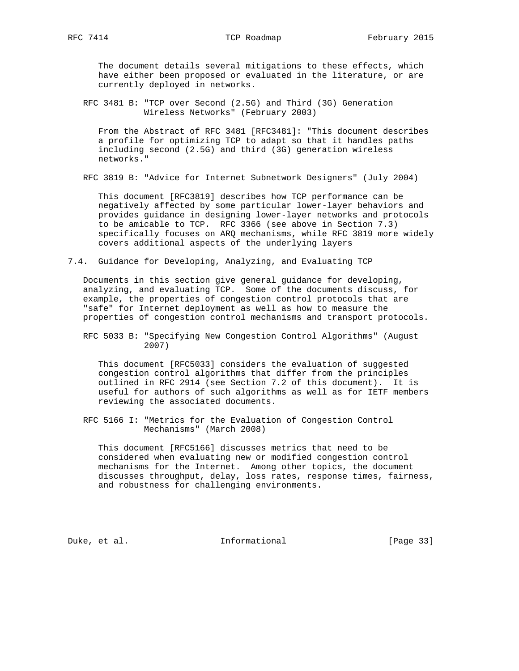The document details several mitigations to these effects, which have either been proposed or evaluated in the literature, or are currently deployed in networks.

 RFC 3481 B: "TCP over Second (2.5G) and Third (3G) Generation Wireless Networks" (February 2003)

 From the Abstract of RFC 3481 [RFC3481]: "This document describes a profile for optimizing TCP to adapt so that it handles paths including second (2.5G) and third (3G) generation wireless networks."

RFC 3819 B: "Advice for Internet Subnetwork Designers" (July 2004)

 This document [RFC3819] describes how TCP performance can be negatively affected by some particular lower-layer behaviors and provides guidance in designing lower-layer networks and protocols to be amicable to TCP. RFC 3366 (see above in Section 7.3) specifically focuses on ARQ mechanisms, while RFC 3819 more widely covers additional aspects of the underlying layers

7.4. Guidance for Developing, Analyzing, and Evaluating TCP

 Documents in this section give general guidance for developing, analyzing, and evaluating TCP. Some of the documents discuss, for example, the properties of congestion control protocols that are "safe" for Internet deployment as well as how to measure the properties of congestion control mechanisms and transport protocols.

 RFC 5033 B: "Specifying New Congestion Control Algorithms" (August 2007)

 This document [RFC5033] considers the evaluation of suggested congestion control algorithms that differ from the principles outlined in RFC 2914 (see Section 7.2 of this document). It is useful for authors of such algorithms as well as for IETF members reviewing the associated documents.

 RFC 5166 I: "Metrics for the Evaluation of Congestion Control Mechanisms" (March 2008)

 This document [RFC5166] discusses metrics that need to be considered when evaluating new or modified congestion control mechanisms for the Internet. Among other topics, the document discusses throughput, delay, loss rates, response times, fairness, and robustness for challenging environments.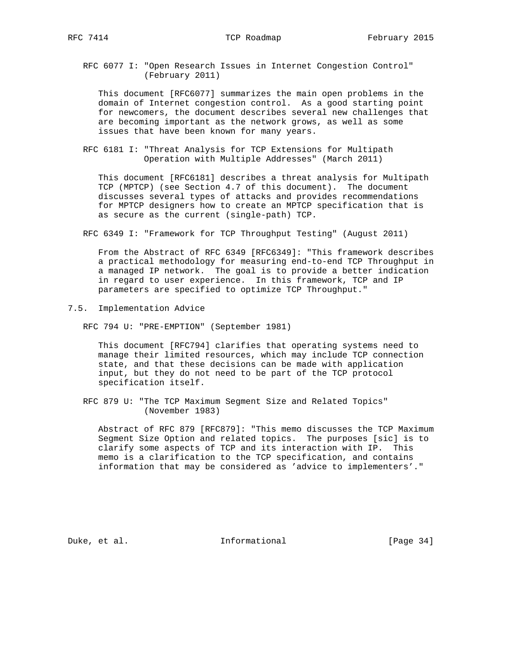RFC 6077 I: "Open Research Issues in Internet Congestion Control" (February 2011)

 This document [RFC6077] summarizes the main open problems in the domain of Internet congestion control. As a good starting point for newcomers, the document describes several new challenges that are becoming important as the network grows, as well as some issues that have been known for many years.

 RFC 6181 I: "Threat Analysis for TCP Extensions for Multipath Operation with Multiple Addresses" (March 2011)

 This document [RFC6181] describes a threat analysis for Multipath TCP (MPTCP) (see Section 4.7 of this document). The document discusses several types of attacks and provides recommendations for MPTCP designers how to create an MPTCP specification that is as secure as the current (single-path) TCP.

RFC 6349 I: "Framework for TCP Throughput Testing" (August 2011)

 From the Abstract of RFC 6349 [RFC6349]: "This framework describes a practical methodology for measuring end-to-end TCP Throughput in a managed IP network. The goal is to provide a better indication in regard to user experience. In this framework, TCP and IP parameters are specified to optimize TCP Throughput."

7.5. Implementation Advice

RFC 794 U: "PRE-EMPTION" (September 1981)

 This document [RFC794] clarifies that operating systems need to manage their limited resources, which may include TCP connection state, and that these decisions can be made with application input, but they do not need to be part of the TCP protocol specification itself.

 RFC 879 U: "The TCP Maximum Segment Size and Related Topics" (November 1983)

 Abstract of RFC 879 [RFC879]: "This memo discusses the TCP Maximum Segment Size Option and related topics. The purposes [sic] is to clarify some aspects of TCP and its interaction with IP. This memo is a clarification to the TCP specification, and contains information that may be considered as 'advice to implementers'."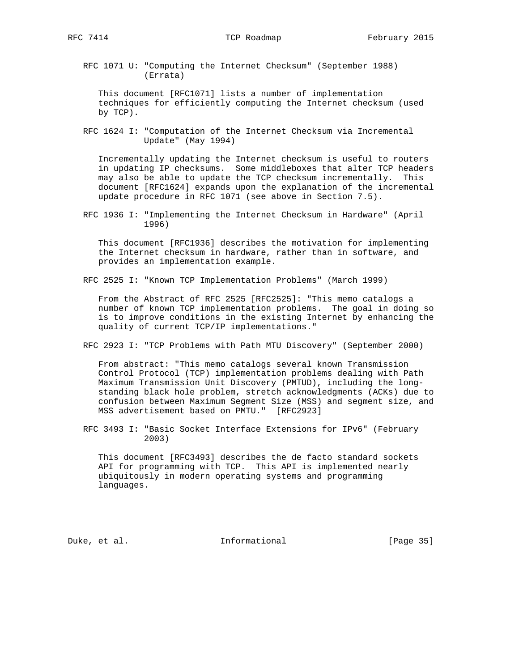RFC 1071 U: "Computing the Internet Checksum" (September 1988) (Errata)

 This document [RFC1071] lists a number of implementation techniques for efficiently computing the Internet checksum (used by TCP).

 RFC 1624 I: "Computation of the Internet Checksum via Incremental Update" (May 1994)

 Incrementally updating the Internet checksum is useful to routers in updating IP checksums. Some middleboxes that alter TCP headers may also be able to update the TCP checksum incrementally. This document [RFC1624] expands upon the explanation of the incremental update procedure in RFC 1071 (see above in Section 7.5).

 RFC 1936 I: "Implementing the Internet Checksum in Hardware" (April 1996)

 This document [RFC1936] describes the motivation for implementing the Internet checksum in hardware, rather than in software, and provides an implementation example.

RFC 2525 I: "Known TCP Implementation Problems" (March 1999)

 From the Abstract of RFC 2525 [RFC2525]: "This memo catalogs a number of known TCP implementation problems. The goal in doing so is to improve conditions in the existing Internet by enhancing the quality of current TCP/IP implementations."

RFC 2923 I: "TCP Problems with Path MTU Discovery" (September 2000)

 From abstract: "This memo catalogs several known Transmission Control Protocol (TCP) implementation problems dealing with Path Maximum Transmission Unit Discovery (PMTUD), including the long standing black hole problem, stretch acknowledgments (ACKs) due to confusion between Maximum Segment Size (MSS) and segment size, and MSS advertisement based on PMTU." [RFC2923]

 RFC 3493 I: "Basic Socket Interface Extensions for IPv6" (February 2003)

 This document [RFC3493] describes the de facto standard sockets API for programming with TCP. This API is implemented nearly ubiquitously in modern operating systems and programming languages.

Duke, et al. 10. Informational [Page 35]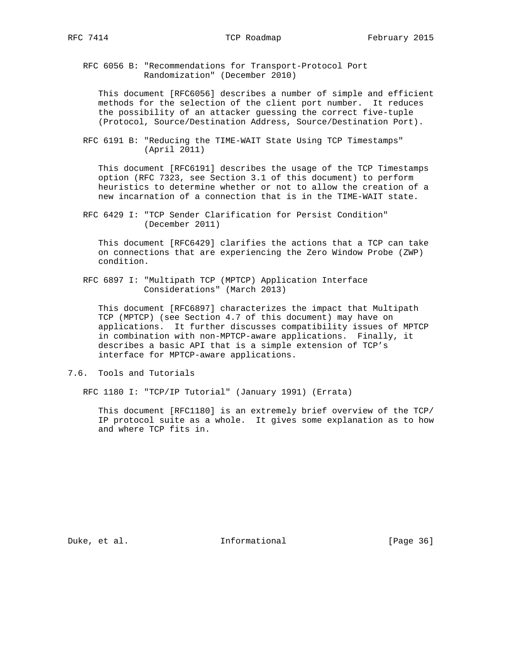RFC 6056 B: "Recommendations for Transport-Protocol Port Randomization" (December 2010)

 This document [RFC6056] describes a number of simple and efficient methods for the selection of the client port number. It reduces the possibility of an attacker guessing the correct five-tuple (Protocol, Source/Destination Address, Source/Destination Port).

 RFC 6191 B: "Reducing the TIME-WAIT State Using TCP Timestamps" (April 2011)

 This document [RFC6191] describes the usage of the TCP Timestamps option (RFC 7323, see Section 3.1 of this document) to perform heuristics to determine whether or not to allow the creation of a new incarnation of a connection that is in the TIME-WAIT state.

 RFC 6429 I: "TCP Sender Clarification for Persist Condition" (December 2011)

 This document [RFC6429] clarifies the actions that a TCP can take on connections that are experiencing the Zero Window Probe (ZWP) condition.

 RFC 6897 I: "Multipath TCP (MPTCP) Application Interface Considerations" (March 2013)

 This document [RFC6897] characterizes the impact that Multipath TCP (MPTCP) (see Section 4.7 of this document) may have on applications. It further discusses compatibility issues of MPTCP in combination with non-MPTCP-aware applications. Finally, it describes a basic API that is a simple extension of TCP's interface for MPTCP-aware applications.

7.6. Tools and Tutorials

RFC 1180 I: "TCP/IP Tutorial" (January 1991) (Errata)

 This document [RFC1180] is an extremely brief overview of the TCP/ IP protocol suite as a whole. It gives some explanation as to how and where TCP fits in.

Duke, et al. 10. Informational [Page 36]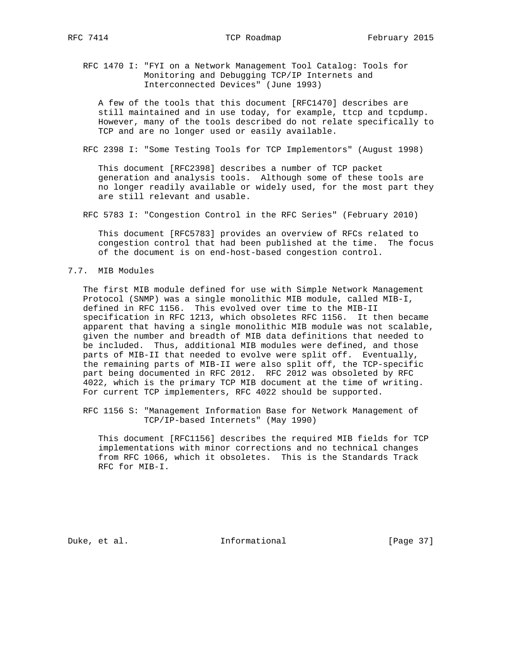RFC 1470 I: "FYI on a Network Management Tool Catalog: Tools for Monitoring and Debugging TCP/IP Internets and Interconnected Devices" (June 1993)

 A few of the tools that this document [RFC1470] describes are still maintained and in use today, for example, ttcp and tcpdump. However, many of the tools described do not relate specifically to TCP and are no longer used or easily available.

RFC 2398 I: "Some Testing Tools for TCP Implementors" (August 1998)

 This document [RFC2398] describes a number of TCP packet generation and analysis tools. Although some of these tools are no longer readily available or widely used, for the most part they are still relevant and usable.

RFC 5783 I: "Congestion Control in the RFC Series" (February 2010)

 This document [RFC5783] provides an overview of RFCs related to congestion control that had been published at the time. The focus of the document is on end-host-based congestion control.

## 7.7. MIB Modules

 The first MIB module defined for use with Simple Network Management Protocol (SNMP) was a single monolithic MIB module, called MIB-I, defined in RFC 1156. This evolved over time to the MIB-II specification in RFC 1213, which obsoletes RFC 1156. It then became apparent that having a single monolithic MIB module was not scalable, given the number and breadth of MIB data definitions that needed to be included. Thus, additional MIB modules were defined, and those parts of MIB-II that needed to evolve were split off. Eventually, the remaining parts of MIB-II were also split off, the TCP-specific part being documented in RFC 2012. RFC 2012 was obsoleted by RFC 4022, which is the primary TCP MIB document at the time of writing. For current TCP implementers, RFC 4022 should be supported.

 RFC 1156 S: "Management Information Base for Network Management of TCP/IP-based Internets" (May 1990)

 This document [RFC1156] describes the required MIB fields for TCP implementations with minor corrections and no technical changes from RFC 1066, which it obsoletes. This is the Standards Track RFC for MIB-I.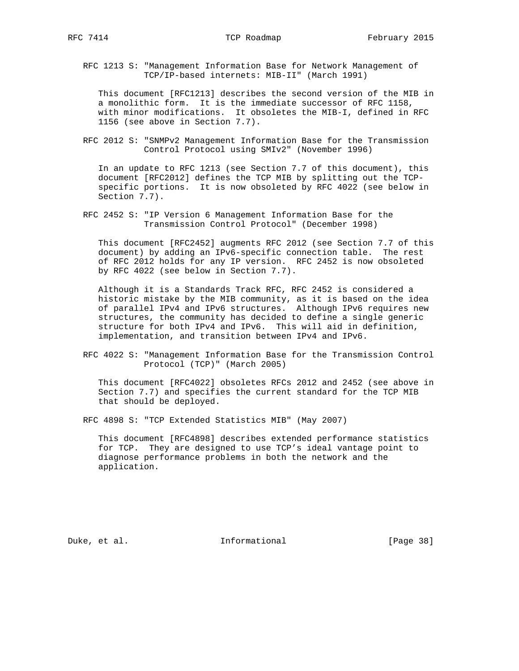RFC 1213 S: "Management Information Base for Network Management of TCP/IP-based internets: MIB-II" (March 1991)

 This document [RFC1213] describes the second version of the MIB in a monolithic form. It is the immediate successor of RFC 1158, with minor modifications. It obsoletes the MIB-I, defined in RFC 1156 (see above in Section 7.7).

 RFC 2012 S: "SNMPv2 Management Information Base for the Transmission Control Protocol using SMIv2" (November 1996)

 In an update to RFC 1213 (see Section 7.7 of this document), this document [RFC2012] defines the TCP MIB by splitting out the TCP specific portions. It is now obsoleted by RFC 4022 (see below in Section 7.7).

 RFC 2452 S: "IP Version 6 Management Information Base for the Transmission Control Protocol" (December 1998)

 This document [RFC2452] augments RFC 2012 (see Section 7.7 of this document) by adding an IPv6-specific connection table. The rest of RFC 2012 holds for any IP version. RFC 2452 is now obsoleted by RFC 4022 (see below in Section 7.7).

 Although it is a Standards Track RFC, RFC 2452 is considered a historic mistake by the MIB community, as it is based on the idea of parallel IPv4 and IPv6 structures. Although IPv6 requires new structures, the community has decided to define a single generic structure for both IPv4 and IPv6. This will aid in definition, implementation, and transition between IPv4 and IPv6.

 RFC 4022 S: "Management Information Base for the Transmission Control Protocol (TCP)" (March 2005)

 This document [RFC4022] obsoletes RFCs 2012 and 2452 (see above in Section 7.7) and specifies the current standard for the TCP MIB that should be deployed.

RFC 4898 S: "TCP Extended Statistics MIB" (May 2007)

 This document [RFC4898] describes extended performance statistics for TCP. They are designed to use TCP's ideal vantage point to diagnose performance problems in both the network and the application.

Duke, et al. 10. Informational [Page 38]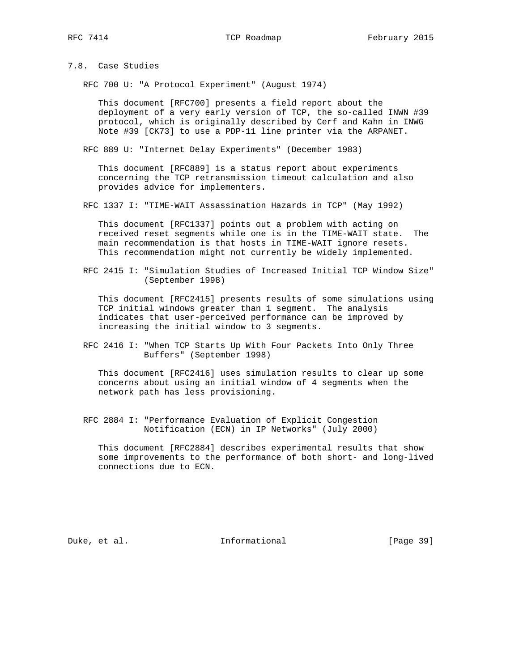7.8. Case Studies

RFC 700 U: "A Protocol Experiment" (August 1974)

 This document [RFC700] presents a field report about the deployment of a very early version of TCP, the so-called INWN #39 protocol, which is originally described by Cerf and Kahn in INWG Note #39 [CK73] to use a PDP-11 line printer via the ARPANET.

RFC 889 U: "Internet Delay Experiments" (December 1983)

 This document [RFC889] is a status report about experiments concerning the TCP retransmission timeout calculation and also provides advice for implementers.

RFC 1337 I: "TIME-WAIT Assassination Hazards in TCP" (May 1992)

 This document [RFC1337] points out a problem with acting on received reset segments while one is in the TIME-WAIT state. The main recommendation is that hosts in TIME-WAIT ignore resets. This recommendation might not currently be widely implemented.

 RFC 2415 I: "Simulation Studies of Increased Initial TCP Window Size" (September 1998)

 This document [RFC2415] presents results of some simulations using TCP initial windows greater than 1 segment. The analysis indicates that user-perceived performance can be improved by increasing the initial window to 3 segments.

 RFC 2416 I: "When TCP Starts Up With Four Packets Into Only Three Buffers" (September 1998)

 This document [RFC2416] uses simulation results to clear up some concerns about using an initial window of 4 segments when the network path has less provisioning.

 RFC 2884 I: "Performance Evaluation of Explicit Congestion Notification (ECN) in IP Networks" (July 2000)

 This document [RFC2884] describes experimental results that show some improvements to the performance of both short- and long-lived connections due to ECN.

Duke, et al. 10. Informational [Page 39]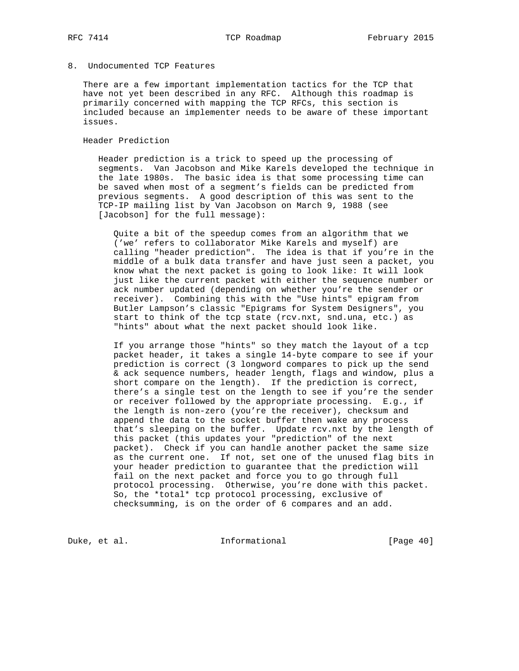## 8. Undocumented TCP Features

 There are a few important implementation tactics for the TCP that have not yet been described in any RFC. Although this roadmap is primarily concerned with mapping the TCP RFCs, this section is included because an implementer needs to be aware of these important issues.

Header Prediction

 Header prediction is a trick to speed up the processing of segments. Van Jacobson and Mike Karels developed the technique in the late 1980s. The basic idea is that some processing time can be saved when most of a segment's fields can be predicted from previous segments. A good description of this was sent to the TCP-IP mailing list by Van Jacobson on March 9, 1988 (see [Jacobson] for the full message):

 Quite a bit of the speedup comes from an algorithm that we ('we' refers to collaborator Mike Karels and myself) are calling "header prediction". The idea is that if you're in the middle of a bulk data transfer and have just seen a packet, you know what the next packet is going to look like: It will look just like the current packet with either the sequence number or ack number updated (depending on whether you're the sender or receiver). Combining this with the "Use hints" epigram from Butler Lampson's classic "Epigrams for System Designers", you start to think of the tcp state (rcv.nxt, snd.una, etc.) as "hints" about what the next packet should look like.

 If you arrange those "hints" so they match the layout of a tcp packet header, it takes a single 14-byte compare to see if your prediction is correct (3 longword compares to pick up the send & ack sequence numbers, header length, flags and window, plus a short compare on the length). If the prediction is correct, there's a single test on the length to see if you're the sender or receiver followed by the appropriate processing. E.g., if the length is non-zero (you're the receiver), checksum and append the data to the socket buffer then wake any process that's sleeping on the buffer. Update rcv.nxt by the length of this packet (this updates your "prediction" of the next packet). Check if you can handle another packet the same size as the current one. If not, set one of the unused flag bits in your header prediction to guarantee that the prediction will fail on the next packet and force you to go through full protocol processing. Otherwise, you're done with this packet. So, the \*total\* tcp protocol processing, exclusive of checksumming, is on the order of 6 compares and an add.

Duke, et al. 10 mm informational [Page 40]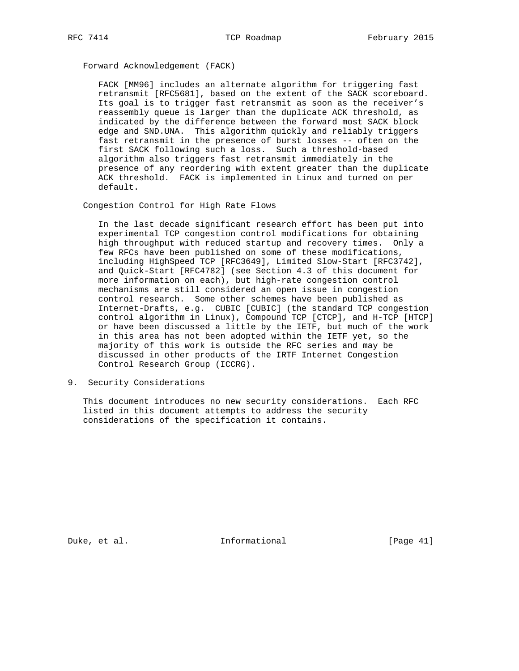Forward Acknowledgement (FACK)

 FACK [MM96] includes an alternate algorithm for triggering fast retransmit [RFC5681], based on the extent of the SACK scoreboard. Its goal is to trigger fast retransmit as soon as the receiver's reassembly queue is larger than the duplicate ACK threshold, as indicated by the difference between the forward most SACK block edge and SND.UNA. This algorithm quickly and reliably triggers fast retransmit in the presence of burst losses -- often on the first SACK following such a loss. Such a threshold-based algorithm also triggers fast retransmit immediately in the presence of any reordering with extent greater than the duplicate ACK threshold. FACK is implemented in Linux and turned on per default.

### Congestion Control for High Rate Flows

 In the last decade significant research effort has been put into experimental TCP congestion control modifications for obtaining high throughput with reduced startup and recovery times. Only a few RFCs have been published on some of these modifications, including HighSpeed TCP [RFC3649], Limited Slow-Start [RFC3742], and Quick-Start [RFC4782] (see Section 4.3 of this document for more information on each), but high-rate congestion control mechanisms are still considered an open issue in congestion control research. Some other schemes have been published as Internet-Drafts, e.g. CUBIC [CUBIC] (the standard TCP congestion control algorithm in Linux), Compound TCP [CTCP], and H-TCP [HTCP] or have been discussed a little by the IETF, but much of the work in this area has not been adopted within the IETF yet, so the majority of this work is outside the RFC series and may be discussed in other products of the IRTF Internet Congestion Control Research Group (ICCRG).

9. Security Considerations

 This document introduces no new security considerations. Each RFC listed in this document attempts to address the security considerations of the specification it contains.

Duke, et al. 10 mm informational [Page 41]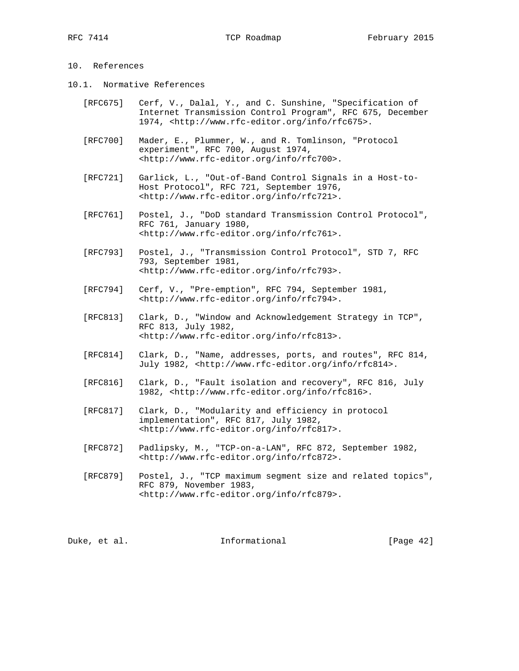# 10. References

- 10.1. Normative References
	- [RFC675] Cerf, V., Dalal, Y., and C. Sunshine, "Specification of Internet Transmission Control Program", RFC 675, December 1974, <http://www.rfc-editor.org/info/rfc675>.
	- [RFC700] Mader, E., Plummer, W., and R. Tomlinson, "Protocol experiment", RFC 700, August 1974, <http://www.rfc-editor.org/info/rfc700>.
	- [RFC721] Garlick, L., "Out-of-Band Control Signals in a Host-to- Host Protocol", RFC 721, September 1976, <http://www.rfc-editor.org/info/rfc721>.
	- [RFC761] Postel, J., "DoD standard Transmission Control Protocol", RFC 761, January 1980, <http://www.rfc-editor.org/info/rfc761>.
	- [RFC793] Postel, J., "Transmission Control Protocol", STD 7, RFC 793, September 1981, <http://www.rfc-editor.org/info/rfc793>.
	- [RFC794] Cerf, V., "Pre-emption", RFC 794, September 1981, <http://www.rfc-editor.org/info/rfc794>.
	- [RFC813] Clark, D., "Window and Acknowledgement Strategy in TCP", RFC 813, July 1982, <http://www.rfc-editor.org/info/rfc813>.
	- [RFC814] Clark, D., "Name, addresses, ports, and routes", RFC 814, July 1982, <http://www.rfc-editor.org/info/rfc814>.
	- [RFC816] Clark, D., "Fault isolation and recovery", RFC 816, July 1982, <http://www.rfc-editor.org/info/rfc816>.
	- [RFC817] Clark, D., "Modularity and efficiency in protocol implementation", RFC 817, July 1982, <http://www.rfc-editor.org/info/rfc817>.
	- [RFC872] Padlipsky, M., "TCP-on-a-LAN", RFC 872, September 1982, <http://www.rfc-editor.org/info/rfc872>.
	- [RFC879] Postel, J., "TCP maximum segment size and related topics", RFC 879, November 1983, <http://www.rfc-editor.org/info/rfc879>.

Duke, et al. 10. Informational 1. [Page 42]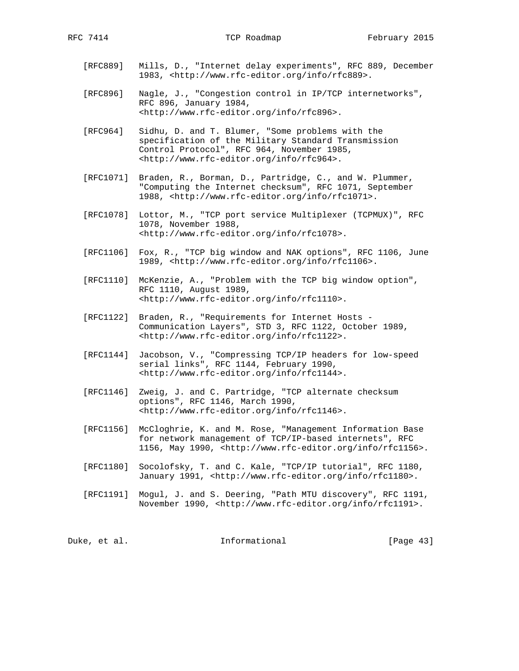- [RFC889] Mills, D., "Internet delay experiments", RFC 889, December 1983, <http://www.rfc-editor.org/info/rfc889>.
- [RFC896] Nagle, J., "Congestion control in IP/TCP internetworks", RFC 896, January 1984, <http://www.rfc-editor.org/info/rfc896>.
- [RFC964] Sidhu, D. and T. Blumer, "Some problems with the specification of the Military Standard Transmission Control Protocol", RFC 964, November 1985, <http://www.rfc-editor.org/info/rfc964>.
- [RFC1071] Braden, R., Borman, D., Partridge, C., and W. Plummer, "Computing the Internet checksum", RFC 1071, September 1988, <http://www.rfc-editor.org/info/rfc1071>.
- [RFC1078] Lottor, M., "TCP port service Multiplexer (TCPMUX)", RFC 1078, November 1988, <http://www.rfc-editor.org/info/rfc1078>.
- [RFC1106] Fox, R., "TCP big window and NAK options", RFC 1106, June 1989, <http://www.rfc-editor.org/info/rfc1106>.
- [RFC1110] McKenzie, A., "Problem with the TCP big window option", RFC 1110, August 1989, <http://www.rfc-editor.org/info/rfc1110>.
- [RFC1122] Braden, R., "Requirements for Internet Hosts Communication Layers", STD 3, RFC 1122, October 1989, <http://www.rfc-editor.org/info/rfc1122>.
- [RFC1144] Jacobson, V., "Compressing TCP/IP headers for low-speed serial links", RFC 1144, February 1990, <http://www.rfc-editor.org/info/rfc1144>.
- [RFC1146] Zweig, J. and C. Partridge, "TCP alternate checksum options", RFC 1146, March 1990, <http://www.rfc-editor.org/info/rfc1146>.
- [RFC1156] McCloghrie, K. and M. Rose, "Management Information Base for network management of TCP/IP-based internets", RFC 1156, May 1990, <http://www.rfc-editor.org/info/rfc1156>.
- [RFC1180] Socolofsky, T. and C. Kale, "TCP/IP tutorial", RFC 1180, January 1991, <http://www.rfc-editor.org/info/rfc1180>.
- [RFC1191] Mogul, J. and S. Deering, "Path MTU discovery", RFC 1191, November 1990, <http://www.rfc-editor.org/info/rfc1191>.

Duke, et al. 10. Informational 1. [Page 43]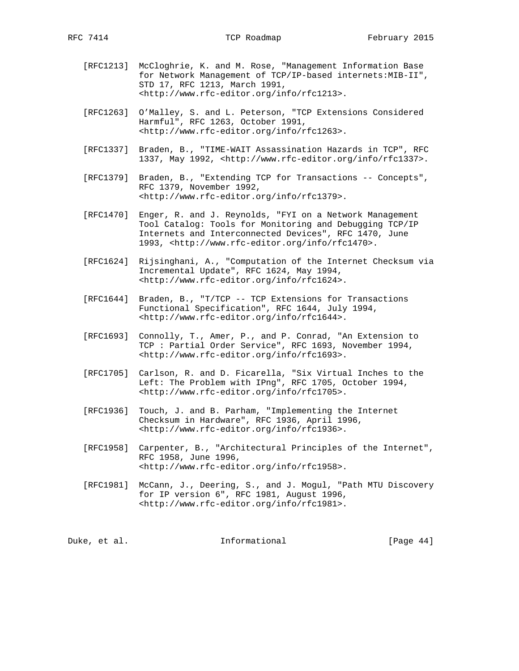- [RFC1213] McCloghrie, K. and M. Rose, "Management Information Base for Network Management of TCP/IP-based internets:MIB-II", STD 17, RFC 1213, March 1991, <http://www.rfc-editor.org/info/rfc1213>.
- [RFC1263] O'Malley, S. and L. Peterson, "TCP Extensions Considered Harmful", RFC 1263, October 1991, <http://www.rfc-editor.org/info/rfc1263>.
- [RFC1337] Braden, B., "TIME-WAIT Assassination Hazards in TCP", RFC 1337, May 1992, <http://www.rfc-editor.org/info/rfc1337>.
- [RFC1379] Braden, B., "Extending TCP for Transactions -- Concepts", RFC 1379, November 1992, <http://www.rfc-editor.org/info/rfc1379>.
- [RFC1470] Enger, R. and J. Reynolds, "FYI on a Network Management Tool Catalog: Tools for Monitoring and Debugging TCP/IP Internets and Interconnected Devices", RFC 1470, June 1993, <http://www.rfc-editor.org/info/rfc1470>.
- [RFC1624] Rijsinghani, A., "Computation of the Internet Checksum via Incremental Update", RFC 1624, May 1994, <http://www.rfc-editor.org/info/rfc1624>.
- [RFC1644] Braden, B., "T/TCP -- TCP Extensions for Transactions Functional Specification", RFC 1644, July 1994, <http://www.rfc-editor.org/info/rfc1644>.
- [RFC1693] Connolly, T., Amer, P., and P. Conrad, "An Extension to TCP : Partial Order Service", RFC 1693, November 1994, <http://www.rfc-editor.org/info/rfc1693>.
- [RFC1705] Carlson, R. and D. Ficarella, "Six Virtual Inches to the Left: The Problem with IPng", RFC 1705, October 1994, <http://www.rfc-editor.org/info/rfc1705>.
- [RFC1936] Touch, J. and B. Parham, "Implementing the Internet Checksum in Hardware", RFC 1936, April 1996, <http://www.rfc-editor.org/info/rfc1936>.
- [RFC1958] Carpenter, B., "Architectural Principles of the Internet", RFC 1958, June 1996, <http://www.rfc-editor.org/info/rfc1958>.
- [RFC1981] McCann, J., Deering, S., and J. Mogul, "Path MTU Discovery for IP version 6", RFC 1981, August 1996, <http://www.rfc-editor.org/info/rfc1981>.

| Informational<br>Duke, et al. | [Page $44$ ] |  |  |
|-------------------------------|--------------|--|--|
|-------------------------------|--------------|--|--|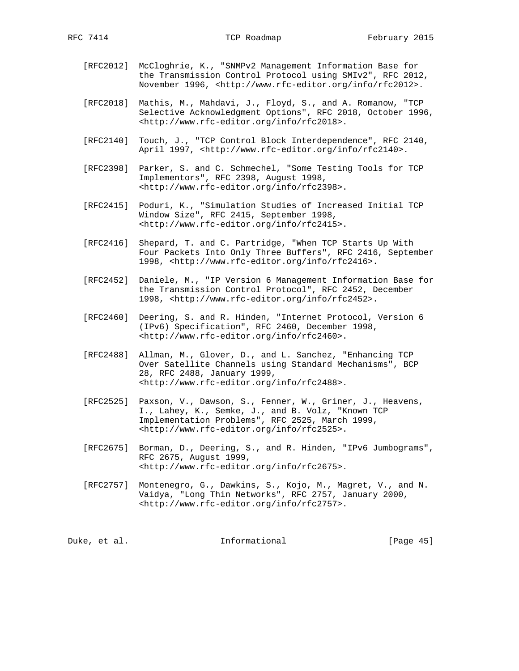- [RFC2012] McCloghrie, K., "SNMPv2 Management Information Base for the Transmission Control Protocol using SMIv2", RFC 2012, November 1996, <http://www.rfc-editor.org/info/rfc2012>.
- [RFC2018] Mathis, M., Mahdavi, J., Floyd, S., and A. Romanow, "TCP Selective Acknowledgment Options", RFC 2018, October 1996, <http://www.rfc-editor.org/info/rfc2018>.
- [RFC2140] Touch, J., "TCP Control Block Interdependence", RFC 2140, April 1997, <http://www.rfc-editor.org/info/rfc2140>.
- [RFC2398] Parker, S. and C. Schmechel, "Some Testing Tools for TCP Implementors", RFC 2398, August 1998, <http://www.rfc-editor.org/info/rfc2398>.
- [RFC2415] Poduri, K., "Simulation Studies of Increased Initial TCP Window Size", RFC 2415, September 1998, <http://www.rfc-editor.org/info/rfc2415>.
- [RFC2416] Shepard, T. and C. Partridge, "When TCP Starts Up With Four Packets Into Only Three Buffers", RFC 2416, September 1998, <http://www.rfc-editor.org/info/rfc2416>.
- [RFC2452] Daniele, M., "IP Version 6 Management Information Base for the Transmission Control Protocol", RFC 2452, December 1998, <http://www.rfc-editor.org/info/rfc2452>.
- [RFC2460] Deering, S. and R. Hinden, "Internet Protocol, Version 6 (IPv6) Specification", RFC 2460, December 1998, <http://www.rfc-editor.org/info/rfc2460>.
- [RFC2488] Allman, M., Glover, D., and L. Sanchez, "Enhancing TCP Over Satellite Channels using Standard Mechanisms", BCP 28, RFC 2488, January 1999, <http://www.rfc-editor.org/info/rfc2488>.
- [RFC2525] Paxson, V., Dawson, S., Fenner, W., Griner, J., Heavens, I., Lahey, K., Semke, J., and B. Volz, "Known TCP Implementation Problems", RFC 2525, March 1999, <http://www.rfc-editor.org/info/rfc2525>.
- [RFC2675] Borman, D., Deering, S., and R. Hinden, "IPv6 Jumbograms", RFC 2675, August 1999, <http://www.rfc-editor.org/info/rfc2675>.
- [RFC2757] Montenegro, G., Dawkins, S., Kojo, M., Magret, V., and N. Vaidya, "Long Thin Networks", RFC 2757, January 2000, <http://www.rfc-editor.org/info/rfc2757>.

Duke, et al. 10 mm informational [Page 45]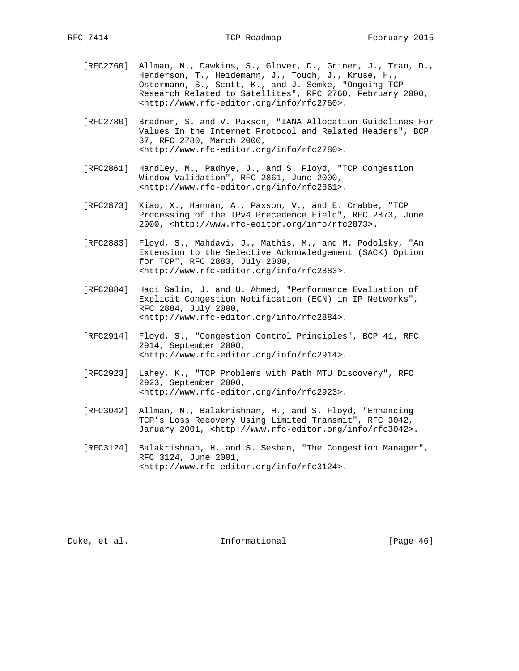- [RFC2760] Allman, M., Dawkins, S., Glover, D., Griner, J., Tran, D., Henderson, T., Heidemann, J., Touch, J., Kruse, H., Ostermann, S., Scott, K., and J. Semke, "Ongoing TCP Research Related to Satellites", RFC 2760, February 2000, <http://www.rfc-editor.org/info/rfc2760>.
- [RFC2780] Bradner, S. and V. Paxson, "IANA Allocation Guidelines For Values In the Internet Protocol and Related Headers", BCP 37, RFC 2780, March 2000, <http://www.rfc-editor.org/info/rfc2780>.
- [RFC2861] Handley, M., Padhye, J., and S. Floyd, "TCP Congestion Window Validation", RFC 2861, June 2000, <http://www.rfc-editor.org/info/rfc2861>.
- [RFC2873] Xiao, X., Hannan, A., Paxson, V., and E. Crabbe, "TCP Processing of the IPv4 Precedence Field", RFC 2873, June 2000, <http://www.rfc-editor.org/info/rfc2873>.
- [RFC2883] Floyd, S., Mahdavi, J., Mathis, M., and M. Podolsky, "An Extension to the Selective Acknowledgement (SACK) Option for TCP", RFC 2883, July 2000, <http://www.rfc-editor.org/info/rfc2883>.
- [RFC2884] Hadi Salim, J. and U. Ahmed, "Performance Evaluation of Explicit Congestion Notification (ECN) in IP Networks", RFC 2884, July 2000, <http://www.rfc-editor.org/info/rfc2884>.
- [RFC2914] Floyd, S., "Congestion Control Principles", BCP 41, RFC 2914, September 2000, <http://www.rfc-editor.org/info/rfc2914>.
- [RFC2923] Lahey, K., "TCP Problems with Path MTU Discovery", RFC 2923, September 2000, <http://www.rfc-editor.org/info/rfc2923>.
- [RFC3042] Allman, M., Balakrishnan, H., and S. Floyd, "Enhancing TCP's Loss Recovery Using Limited Transmit", RFC 3042, January 2001, <http://www.rfc-editor.org/info/rfc3042>.
- [RFC3124] Balakrishnan, H. and S. Seshan, "The Congestion Manager", RFC 3124, June 2001, <http://www.rfc-editor.org/info/rfc3124>.

Duke, et al. 10. Informational 1. [Page 46]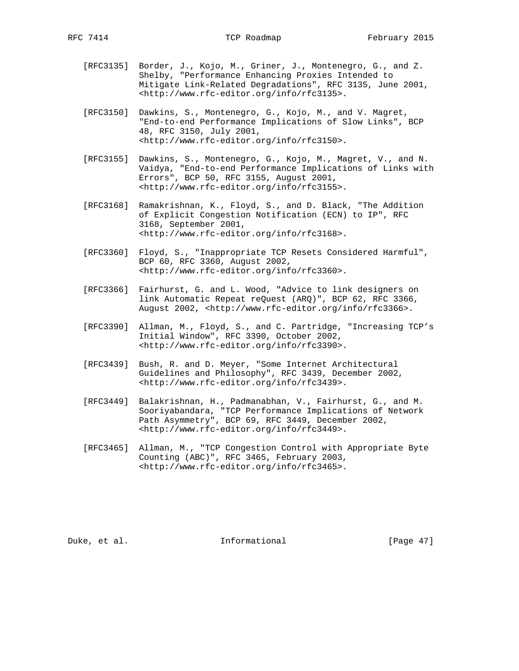- [RFC3135] Border, J., Kojo, M., Griner, J., Montenegro, G., and Z. Shelby, "Performance Enhancing Proxies Intended to Mitigate Link-Related Degradations", RFC 3135, June 2001, <http://www.rfc-editor.org/info/rfc3135>.
- [RFC3150] Dawkins, S., Montenegro, G., Kojo, M., and V. Magret, "End-to-end Performance Implications of Slow Links", BCP 48, RFC 3150, July 2001, <http://www.rfc-editor.org/info/rfc3150>.
- [RFC3155] Dawkins, S., Montenegro, G., Kojo, M., Magret, V., and N. Vaidya, "End-to-end Performance Implications of Links with Errors", BCP 50, RFC 3155, August 2001, <http://www.rfc-editor.org/info/rfc3155>.
- [RFC3168] Ramakrishnan, K., Floyd, S., and D. Black, "The Addition of Explicit Congestion Notification (ECN) to IP", RFC 3168, September 2001, <http://www.rfc-editor.org/info/rfc3168>.
- [RFC3360] Floyd, S., "Inappropriate TCP Resets Considered Harmful", BCP 60, RFC 3360, August 2002, <http://www.rfc-editor.org/info/rfc3360>.
- [RFC3366] Fairhurst, G. and L. Wood, "Advice to link designers on link Automatic Repeat reQuest (ARQ)", BCP 62, RFC 3366, August 2002, <http://www.rfc-editor.org/info/rfc3366>.
- [RFC3390] Allman, M., Floyd, S., and C. Partridge, "Increasing TCP's Initial Window", RFC 3390, October 2002, <http://www.rfc-editor.org/info/rfc3390>.
- [RFC3439] Bush, R. and D. Meyer, "Some Internet Architectural Guidelines and Philosophy", RFC 3439, December 2002, <http://www.rfc-editor.org/info/rfc3439>.
- [RFC3449] Balakrishnan, H., Padmanabhan, V., Fairhurst, G., and M. Sooriyabandara, "TCP Performance Implications of Network Path Asymmetry", BCP 69, RFC 3449, December 2002, <http://www.rfc-editor.org/info/rfc3449>.
	- [RFC3465] Allman, M., "TCP Congestion Control with Appropriate Byte Counting (ABC)", RFC 3465, February 2003, <http://www.rfc-editor.org/info/rfc3465>.

Duke, et al. 100 mm informational [Page 47]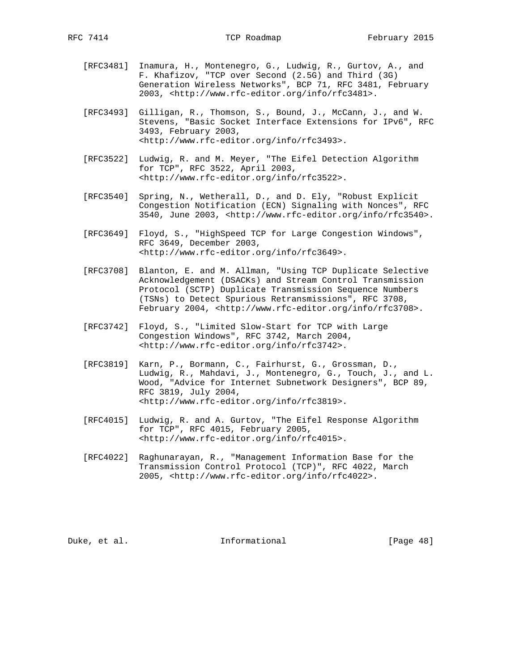- [RFC3481] Inamura, H., Montenegro, G., Ludwig, R., Gurtov, A., and F. Khafizov, "TCP over Second (2.5G) and Third (3G) Generation Wireless Networks", BCP 71, RFC 3481, February 2003, <http://www.rfc-editor.org/info/rfc3481>.
- [RFC3493] Gilligan, R., Thomson, S., Bound, J., McCann, J., and W. Stevens, "Basic Socket Interface Extensions for IPv6", RFC 3493, February 2003, <http://www.rfc-editor.org/info/rfc3493>.
- [RFC3522] Ludwig, R. and M. Meyer, "The Eifel Detection Algorithm for TCP", RFC 3522, April 2003, <http://www.rfc-editor.org/info/rfc3522>.
- [RFC3540] Spring, N., Wetherall, D., and D. Ely, "Robust Explicit Congestion Notification (ECN) Signaling with Nonces", RFC 3540, June 2003, <http://www.rfc-editor.org/info/rfc3540>.
- [RFC3649] Floyd, S., "HighSpeed TCP for Large Congestion Windows", RFC 3649, December 2003, <http://www.rfc-editor.org/info/rfc3649>.
- [RFC3708] Blanton, E. and M. Allman, "Using TCP Duplicate Selective Acknowledgement (DSACKs) and Stream Control Transmission Protocol (SCTP) Duplicate Transmission Sequence Numbers (TSNs) to Detect Spurious Retransmissions", RFC 3708, February 2004, <http://www.rfc-editor.org/info/rfc3708>.
- [RFC3742] Floyd, S., "Limited Slow-Start for TCP with Large Congestion Windows", RFC 3742, March 2004, <http://www.rfc-editor.org/info/rfc3742>.
- [RFC3819] Karn, P., Bormann, C., Fairhurst, G., Grossman, D., Ludwig, R., Mahdavi, J., Montenegro, G., Touch, J., and L. Wood, "Advice for Internet Subnetwork Designers", BCP 89, RFC 3819, July 2004, <http://www.rfc-editor.org/info/rfc3819>.
- [RFC4015] Ludwig, R. and A. Gurtov, "The Eifel Response Algorithm for TCP", RFC 4015, February 2005, <http://www.rfc-editor.org/info/rfc4015>.
- [RFC4022] Raghunarayan, R., "Management Information Base for the Transmission Control Protocol (TCP)", RFC 4022, March 2005, <http://www.rfc-editor.org/info/rfc4022>.

Duke, et al. 10 mm informational [Page 48]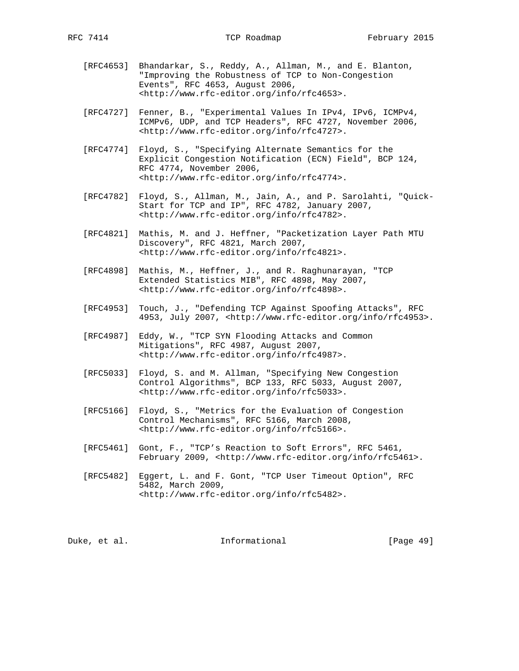- [RFC4653] Bhandarkar, S., Reddy, A., Allman, M., and E. Blanton, "Improving the Robustness of TCP to Non-Congestion Events", RFC 4653, August 2006, <http://www.rfc-editor.org/info/rfc4653>.
- [RFC4727] Fenner, B., "Experimental Values In IPv4, IPv6, ICMPv4, ICMPv6, UDP, and TCP Headers", RFC 4727, November 2006, <http://www.rfc-editor.org/info/rfc4727>.
- [RFC4774] Floyd, S., "Specifying Alternate Semantics for the Explicit Congestion Notification (ECN) Field", BCP 124, RFC 4774, November 2006, <http://www.rfc-editor.org/info/rfc4774>.
- [RFC4782] Floyd, S., Allman, M., Jain, A., and P. Sarolahti, "Quick- Start for TCP and IP", RFC 4782, January 2007, <http://www.rfc-editor.org/info/rfc4782>.
- [RFC4821] Mathis, M. and J. Heffner, "Packetization Layer Path MTU Discovery", RFC 4821, March 2007, <http://www.rfc-editor.org/info/rfc4821>.
- [RFC4898] Mathis, M., Heffner, J., and R. Raghunarayan, "TCP Extended Statistics MIB", RFC 4898, May 2007, <http://www.rfc-editor.org/info/rfc4898>.
- [RFC4953] Touch, J., "Defending TCP Against Spoofing Attacks", RFC 4953, July 2007, <http://www.rfc-editor.org/info/rfc4953>.
- [RFC4987] Eddy, W., "TCP SYN Flooding Attacks and Common Mitigations", RFC 4987, August 2007, <http://www.rfc-editor.org/info/rfc4987>.
- [RFC5033] Floyd, S. and M. Allman, "Specifying New Congestion Control Algorithms", BCP 133, RFC 5033, August 2007, <http://www.rfc-editor.org/info/rfc5033>.
- [RFC5166] Floyd, S., "Metrics for the Evaluation of Congestion Control Mechanisms", RFC 5166, March 2008, <http://www.rfc-editor.org/info/rfc5166>.
- [RFC5461] Gont, F., "TCP's Reaction to Soft Errors", RFC 5461, February 2009, <http://www.rfc-editor.org/info/rfc5461>.
- [RFC5482] Eggert, L. and F. Gont, "TCP User Timeout Option", RFC 5482, March 2009, <http://www.rfc-editor.org/info/rfc5482>.

Duke, et al. The informational and the same of  $[Page 49]$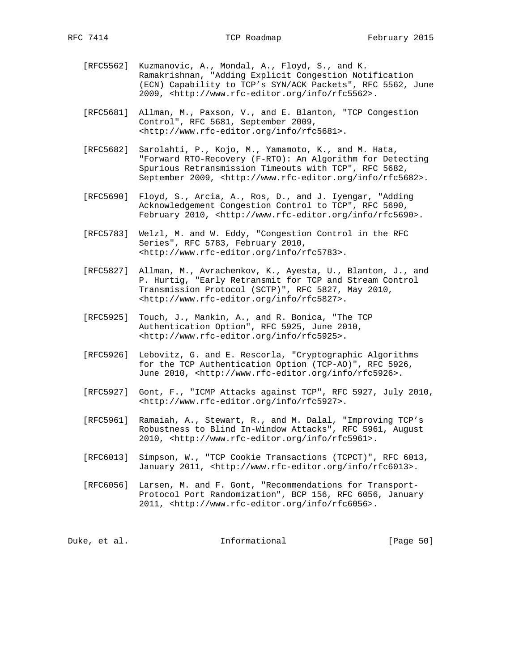- [RFC5562] Kuzmanovic, A., Mondal, A., Floyd, S., and K. Ramakrishnan, "Adding Explicit Congestion Notification (ECN) Capability to TCP's SYN/ACK Packets", RFC 5562, June 2009, <http://www.rfc-editor.org/info/rfc5562>.
- [RFC5681] Allman, M., Paxson, V., and E. Blanton, "TCP Congestion Control", RFC 5681, September 2009, <http://www.rfc-editor.org/info/rfc5681>.
- [RFC5682] Sarolahti, P., Kojo, M., Yamamoto, K., and M. Hata, "Forward RTO-Recovery (F-RTO): An Algorithm for Detecting Spurious Retransmission Timeouts with TCP", RFC 5682, September 2009, <http://www.rfc-editor.org/info/rfc5682>.
- [RFC5690] Floyd, S., Arcia, A., Ros, D., and J. Iyengar, "Adding Acknowledgement Congestion Control to TCP", RFC 5690, February 2010, <http://www.rfc-editor.org/info/rfc5690>.
- [RFC5783] Welzl, M. and W. Eddy, "Congestion Control in the RFC Series", RFC 5783, February 2010, <http://www.rfc-editor.org/info/rfc5783>.
- [RFC5827] Allman, M., Avrachenkov, K., Ayesta, U., Blanton, J., and P. Hurtig, "Early Retransmit for TCP and Stream Control Transmission Protocol (SCTP)", RFC 5827, May 2010, <http://www.rfc-editor.org/info/rfc5827>.
- [RFC5925] Touch, J., Mankin, A., and R. Bonica, "The TCP Authentication Option", RFC 5925, June 2010, <http://www.rfc-editor.org/info/rfc5925>.
- [RFC5926] Lebovitz, G. and E. Rescorla, "Cryptographic Algorithms for the TCP Authentication Option (TCP-AO)", RFC 5926, June 2010, <http://www.rfc-editor.org/info/rfc5926>.
- [RFC5927] Gont, F., "ICMP Attacks against TCP", RFC 5927, July 2010, <http://www.rfc-editor.org/info/rfc5927>.
- [RFC5961] Ramaiah, A., Stewart, R., and M. Dalal, "Improving TCP's Robustness to Blind In-Window Attacks", RFC 5961, August 2010, <http://www.rfc-editor.org/info/rfc5961>.
- [RFC6013] Simpson, W., "TCP Cookie Transactions (TCPCT)", RFC 6013, January 2011, <http://www.rfc-editor.org/info/rfc6013>.
- [RFC6056] Larsen, M. and F. Gont, "Recommendations for Transport- Protocol Port Randomization", BCP 156, RFC 6056, January 2011, <http://www.rfc-editor.org/info/rfc6056>.

Duke, et al. Informational [Page 50]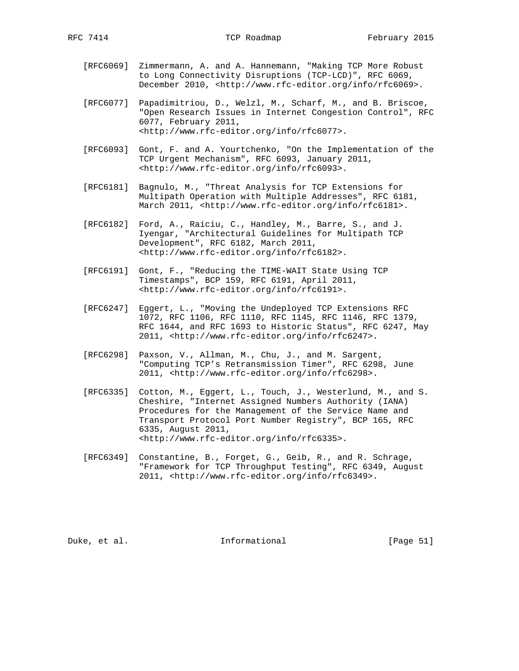- [RFC6069] Zimmermann, A. and A. Hannemann, "Making TCP More Robust to Long Connectivity Disruptions (TCP-LCD)", RFC 6069, December 2010, <http://www.rfc-editor.org/info/rfc6069>.
- [RFC6077] Papadimitriou, D., Welzl, M., Scharf, M., and B. Briscoe, "Open Research Issues in Internet Congestion Control", RFC 6077, February 2011, <http://www.rfc-editor.org/info/rfc6077>.
- [RFC6093] Gont, F. and A. Yourtchenko, "On the Implementation of the TCP Urgent Mechanism", RFC 6093, January 2011, <http://www.rfc-editor.org/info/rfc6093>.
- [RFC6181] Bagnulo, M., "Threat Analysis for TCP Extensions for Multipath Operation with Multiple Addresses", RFC 6181, March 2011, <http://www.rfc-editor.org/info/rfc6181>.
- [RFC6182] Ford, A., Raiciu, C., Handley, M., Barre, S., and J. Iyengar, "Architectural Guidelines for Multipath TCP Development", RFC 6182, March 2011, <http://www.rfc-editor.org/info/rfc6182>.
- [RFC6191] Gont, F., "Reducing the TIME-WAIT State Using TCP Timestamps", BCP 159, RFC 6191, April 2011, <http://www.rfc-editor.org/info/rfc6191>.
- [RFC6247] Eggert, L., "Moving the Undeployed TCP Extensions RFC 1072, RFC 1106, RFC 1110, RFC 1145, RFC 1146, RFC 1379, RFC 1644, and RFC 1693 to Historic Status", RFC 6247, May 2011, <http://www.rfc-editor.org/info/rfc6247>.
- [RFC6298] Paxson, V., Allman, M., Chu, J., and M. Sargent, "Computing TCP's Retransmission Timer", RFC 6298, June 2011, <http://www.rfc-editor.org/info/rfc6298>.
- [RFC6335] Cotton, M., Eggert, L., Touch, J., Westerlund, M., and S. Cheshire, "Internet Assigned Numbers Authority (IANA) Procedures for the Management of the Service Name and Transport Protocol Port Number Registry", BCP 165, RFC 6335, August 2011, <http://www.rfc-editor.org/info/rfc6335>.
- [RFC6349] Constantine, B., Forget, G., Geib, R., and R. Schrage, "Framework for TCP Throughput Testing", RFC 6349, August 2011, <http://www.rfc-editor.org/info/rfc6349>.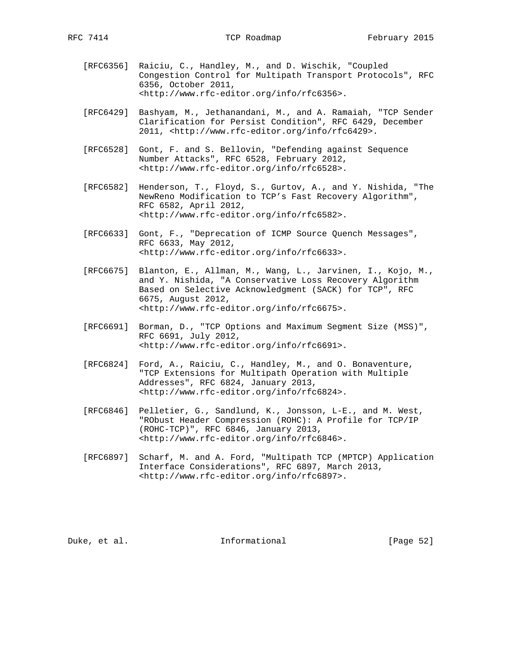- [RFC6356] Raiciu, C., Handley, M., and D. Wischik, "Coupled Congestion Control for Multipath Transport Protocols", RFC 6356, October 2011, <http://www.rfc-editor.org/info/rfc6356>.
- [RFC6429] Bashyam, M., Jethanandani, M., and A. Ramaiah, "TCP Sender Clarification for Persist Condition", RFC 6429, December 2011, <http://www.rfc-editor.org/info/rfc6429>.
- [RFC6528] Gont, F. and S. Bellovin, "Defending against Sequence Number Attacks", RFC 6528, February 2012, <http://www.rfc-editor.org/info/rfc6528>.
- [RFC6582] Henderson, T., Floyd, S., Gurtov, A., and Y. Nishida, "The NewReno Modification to TCP's Fast Recovery Algorithm", RFC 6582, April 2012, <http://www.rfc-editor.org/info/rfc6582>.
- [RFC6633] Gont, F., "Deprecation of ICMP Source Quench Messages", RFC 6633, May 2012, <http://www.rfc-editor.org/info/rfc6633>.
- [RFC6675] Blanton, E., Allman, M., Wang, L., Jarvinen, I., Kojo, M., and Y. Nishida, "A Conservative Loss Recovery Algorithm Based on Selective Acknowledgment (SACK) for TCP", RFC 6675, August 2012, <http://www.rfc-editor.org/info/rfc6675>.
- [RFC6691] Borman, D., "TCP Options and Maximum Segment Size (MSS)", RFC 6691, July 2012, <http://www.rfc-editor.org/info/rfc6691>.
- [RFC6824] Ford, A., Raiciu, C., Handley, M., and O. Bonaventure, "TCP Extensions for Multipath Operation with Multiple Addresses", RFC 6824, January 2013, <http://www.rfc-editor.org/info/rfc6824>.
- [RFC6846] Pelletier, G., Sandlund, K., Jonsson, L-E., and M. West, "RObust Header Compression (ROHC): A Profile for TCP/IP (ROHC-TCP)", RFC 6846, January 2013, <http://www.rfc-editor.org/info/rfc6846>.
- [RFC6897] Scharf, M. and A. Ford, "Multipath TCP (MPTCP) Application Interface Considerations", RFC 6897, March 2013, <http://www.rfc-editor.org/info/rfc6897>.

Duke, et al. 100 and 100 and 111 and 100 and 100 and 100 and 100 and 100 and 100 and 100 and 100 and 100 and 1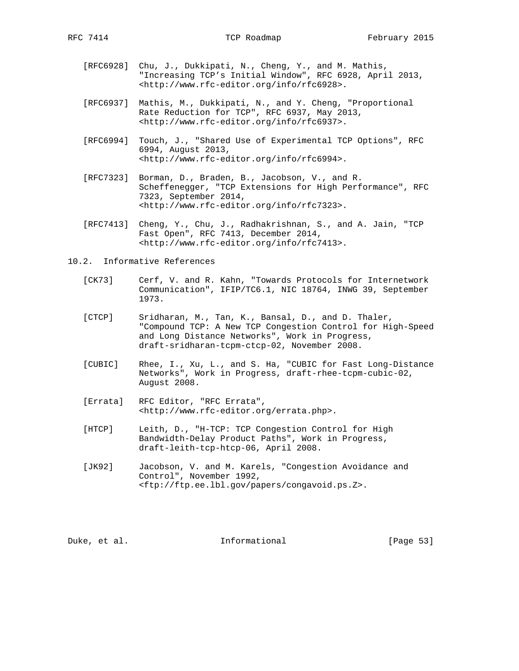- [RFC6928] Chu, J., Dukkipati, N., Cheng, Y., and M. Mathis, "Increasing TCP's Initial Window", RFC 6928, April 2013, <http://www.rfc-editor.org/info/rfc6928>.
- [RFC6937] Mathis, M., Dukkipati, N., and Y. Cheng, "Proportional Rate Reduction for TCP", RFC 6937, May 2013, <http://www.rfc-editor.org/info/rfc6937>.
- [RFC6994] Touch, J., "Shared Use of Experimental TCP Options", RFC 6994, August 2013, <http://www.rfc-editor.org/info/rfc6994>.
- [RFC7323] Borman, D., Braden, B., Jacobson, V., and R. Scheffenegger, "TCP Extensions for High Performance", RFC 7323, September 2014, <http://www.rfc-editor.org/info/rfc7323>.
- [RFC7413] Cheng, Y., Chu, J., Radhakrishnan, S., and A. Jain, "TCP Fast Open", RFC 7413, December 2014, <http://www.rfc-editor.org/info/rfc7413>.
- 10.2. Informative References
	- [CK73] Cerf, V. and R. Kahn, "Towards Protocols for Internetwork Communication", IFIP/TC6.1, NIC 18764, INWG 39, September 1973.
	- [CTCP] Sridharan, M., Tan, K., Bansal, D., and D. Thaler, "Compound TCP: A New TCP Congestion Control for High-Speed and Long Distance Networks", Work in Progress, draft-sridharan-tcpm-ctcp-02, November 2008.
	- [CUBIC] Rhee, I., Xu, L., and S. Ha, "CUBIC for Fast Long-Distance Networks", Work in Progress, draft-rhee-tcpm-cubic-02, August 2008.
	- [Errata] RFC Editor, "RFC Errata", <http://www.rfc-editor.org/errata.php>.
	- [HTCP] Leith, D., "H-TCP: TCP Congestion Control for High Bandwidth-Delay Product Paths", Work in Progress, draft-leith-tcp-htcp-06, April 2008.
	- [JK92] Jacobson, V. and M. Karels, "Congestion Avoidance and Control", November 1992, <ftp://ftp.ee.lbl.gov/papers/congavoid.ps.Z>.

Duke, et al. 10. Informational 1. [Page 53]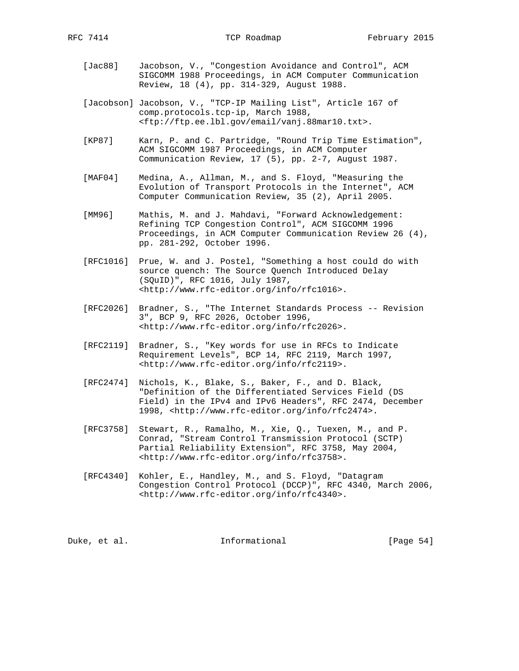- [Jac88] Jacobson, V., "Congestion Avoidance and Control", ACM SIGCOMM 1988 Proceedings, in ACM Computer Communication Review, 18 (4), pp. 314-329, August 1988.
- [Jacobson] Jacobson, V., "TCP-IP Mailing List", Article 167 of comp.protocols.tcp-ip, March 1988, <ftp://ftp.ee.lbl.gov/email/vanj.88mar10.txt>.
- [KP87] Karn, P. and C. Partridge, "Round Trip Time Estimation", ACM SIGCOMM 1987 Proceedings, in ACM Computer Communication Review, 17 (5), pp. 2-7, August 1987.
- [MAF04] Medina, A., Allman, M., and S. Floyd, "Measuring the Evolution of Transport Protocols in the Internet", ACM Computer Communication Review, 35 (2), April 2005.
- [MM96] Mathis, M. and J. Mahdavi, "Forward Acknowledgement: Refining TCP Congestion Control", ACM SIGCOMM 1996 Proceedings, in ACM Computer Communication Review 26 (4), pp. 281-292, October 1996.
- [RFC1016] Prue, W. and J. Postel, "Something a host could do with source quench: The Source Quench Introduced Delay (SQuID)", RFC 1016, July 1987, <http://www.rfc-editor.org/info/rfc1016>.
- [RFC2026] Bradner, S., "The Internet Standards Process -- Revision 3", BCP 9, RFC 2026, October 1996, <http://www.rfc-editor.org/info/rfc2026>.
- [RFC2119] Bradner, S., "Key words for use in RFCs to Indicate Requirement Levels", BCP 14, RFC 2119, March 1997, <http://www.rfc-editor.org/info/rfc2119>.
- [RFC2474] Nichols, K., Blake, S., Baker, F., and D. Black, "Definition of the Differentiated Services Field (DS Field) in the IPv4 and IPv6 Headers", RFC 2474, December 1998, <http://www.rfc-editor.org/info/rfc2474>.
- [RFC3758] Stewart, R., Ramalho, M., Xie, Q., Tuexen, M., and P. Conrad, "Stream Control Transmission Protocol (SCTP) Partial Reliability Extension", RFC 3758, May 2004, <http://www.rfc-editor.org/info/rfc3758>.
- [RFC4340] Kohler, E., Handley, M., and S. Floyd, "Datagram Congestion Control Protocol (DCCP)", RFC 4340, March 2006, <http://www.rfc-editor.org/info/rfc4340>.

Duke, et al. The informational The Informational (Page 54)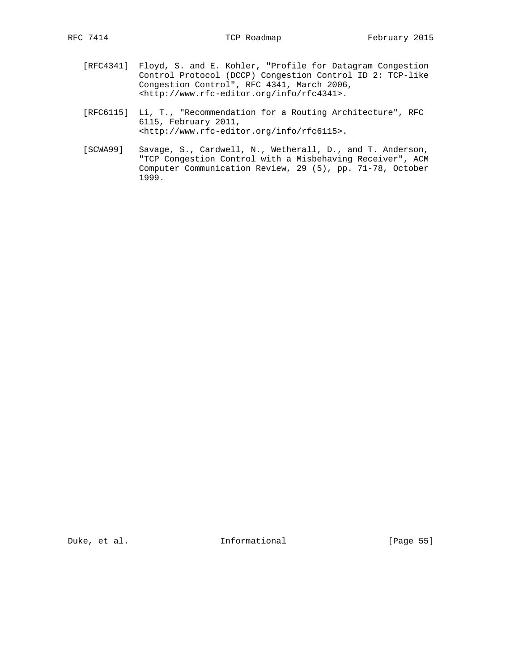- [RFC4341] Floyd, S. and E. Kohler, "Profile for Datagram Congestion Control Protocol (DCCP) Congestion Control ID 2: TCP-like Congestion Control", RFC 4341, March 2006, <http://www.rfc-editor.org/info/rfc4341>.
- [RFC6115] Li, T., "Recommendation for a Routing Architecture", RFC 6115, February 2011, <http://www.rfc-editor.org/info/rfc6115>.
- [SCWA99] Savage, S., Cardwell, N., Wetherall, D., and T. Anderson, "TCP Congestion Control with a Misbehaving Receiver", ACM Computer Communication Review, 29 (5), pp. 71-78, October 1999.

Duke, et al. 10. Informational [Page 55]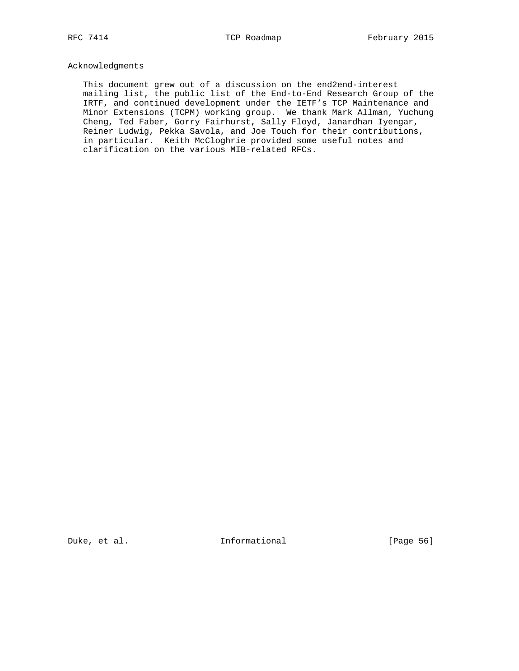# Acknowledgments

 This document grew out of a discussion on the end2end-interest mailing list, the public list of the End-to-End Research Group of the IRTF, and continued development under the IETF's TCP Maintenance and Minor Extensions (TCPM) working group. We thank Mark Allman, Yuchung Cheng, Ted Faber, Gorry Fairhurst, Sally Floyd, Janardhan Iyengar, Reiner Ludwig, Pekka Savola, and Joe Touch for their contributions, in particular. Keith McCloghrie provided some useful notes and clarification on the various MIB-related RFCs.